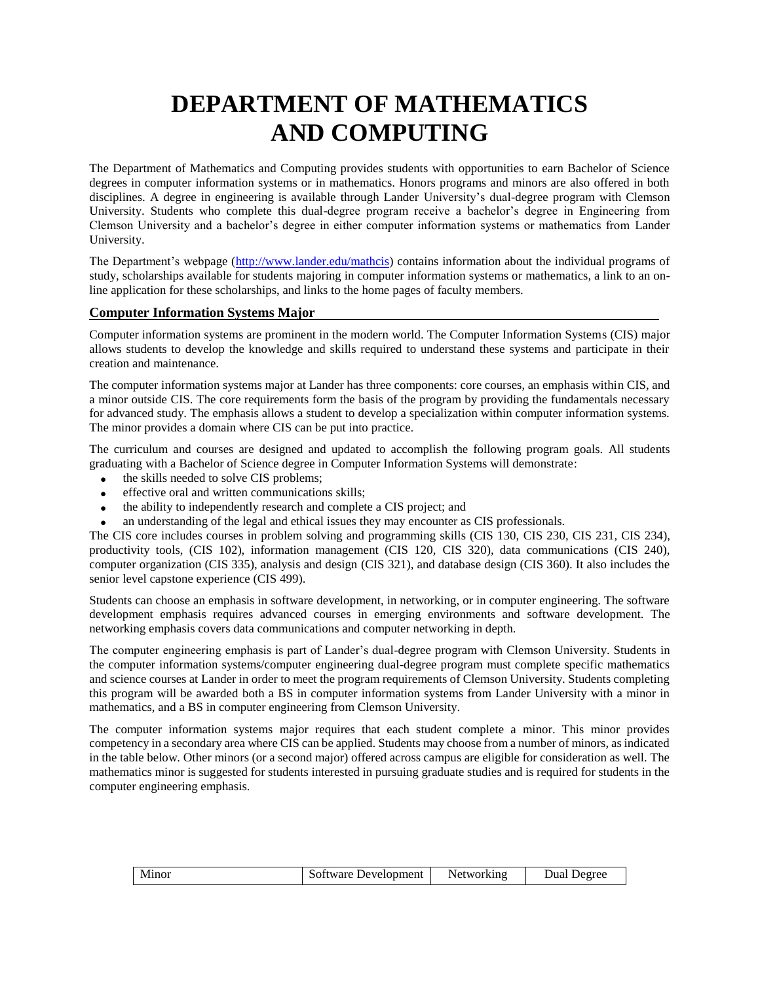# **DEPARTMENT OF MATHEMATICS AND COMPUTING**

The Department of Mathematics and Computing provides students with opportunities to earn Bachelor of Science degrees in computer information systems or in mathematics. Honors programs and minors are also offered in both disciplines. A degree in engineering is available through Lander University's dual-degree program with Clemson University. Students who complete this dual-degree program receive a bachelor's degree in Engineering from Clemson University and a bachelor's degree in either computer information systems or mathematics from Lander University.

The Department's webpage [\(http://www.lander.edu/mathcis\)](http://www.lander.edu/mathcis) contains information about the individual programs of study, scholarships available for students majoring in computer information systems or mathematics, a link to an online application for these scholarships, and links to the home pages of faculty members.

### **Computer Information Systems Major**

Computer information systems are prominent in the modern world. The Computer Information Systems (CIS) major allows students to develop the knowledge and skills required to understand these systems and participate in their creation and maintenance.

The computer information systems major at Lander has three components: core courses, an emphasis within CIS, and a minor outside CIS. The core requirements form the basis of the program by providing the fundamentals necessary for advanced study. The emphasis allows a student to develop a specialization within computer information systems. The minor provides a domain where CIS can be put into practice.

The curriculum and courses are designed and updated to accomplish the following program goals. All students graduating with a Bachelor of Science degree in Computer Information Systems will demonstrate:

- the skills needed to solve CIS problems;
- effective oral and written communications skills;
- the ability to independently research and complete a CIS project; and
- an understanding of the legal and ethical issues they may encounter as CIS professionals.

The CIS core includes courses in problem solving and programming skills (CIS 130, CIS 230, CIS 231, CIS 234), productivity tools, (CIS 102), information management (CIS 120, CIS 320), data communications (CIS 240), computer organization (CIS 335), analysis and design (CIS 321), and database design (CIS 360). It also includes the senior level capstone experience (CIS 499).

Students can choose an emphasis in software development, in networking, or in computer engineering. The software development emphasis requires advanced courses in emerging environments and software development. The networking emphasis covers data communications and computer networking in depth.

The computer engineering emphasis is part of Lander's dual-degree program with Clemson University. Students in the computer information systems/computer engineering dual-degree program must complete specific mathematics and science courses at Lander in order to meet the program requirements of Clemson University. Students completing this program will be awarded both a BS in computer information systems from Lander University with a minor in mathematics, and a BS in computer engineering from Clemson University.

The computer information systems major requires that each student complete a minor. This minor provides competency in a secondary area where CIS can be applied. Students may choose from a number of minors, as indicated in the table below. Other minors (or a second major) offered across campus are eligible for consideration as well. The mathematics minor is suggested for students interested in pursuing graduate studies and is required for students in the computer engineering emphasis.

| Minor | Software Development | Networking | Dual Degree |
|-------|----------------------|------------|-------------|
|-------|----------------------|------------|-------------|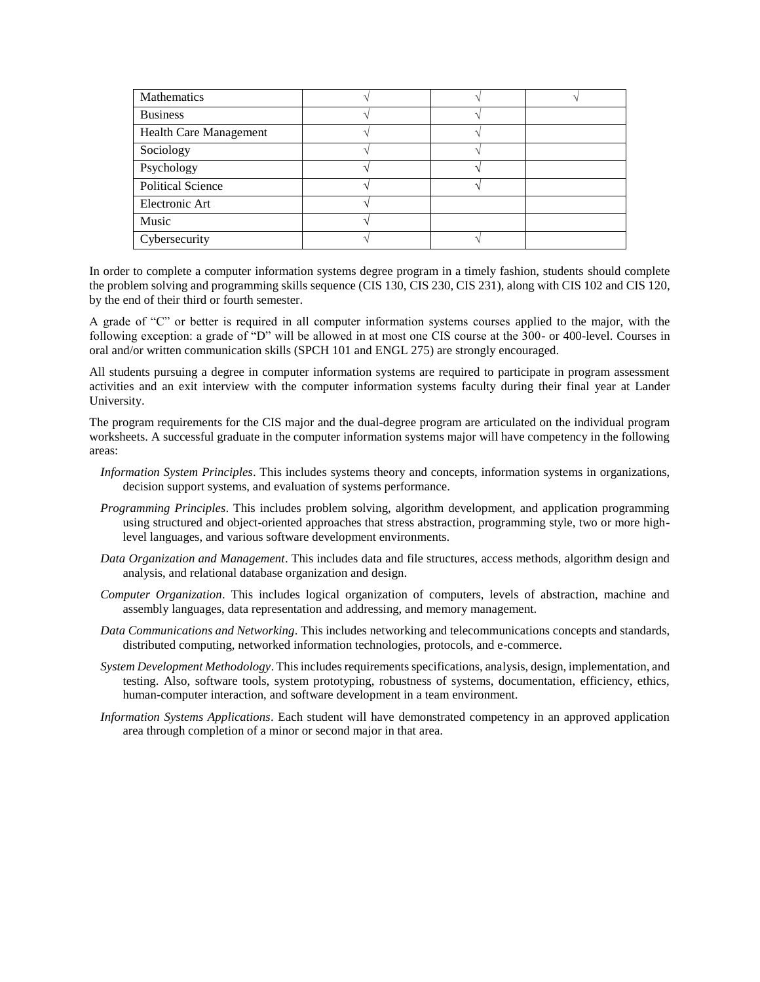| <b>Mathematics</b>            |  |  |
|-------------------------------|--|--|
| <b>Business</b>               |  |  |
| <b>Health Care Management</b> |  |  |
| Sociology                     |  |  |
| Psychology                    |  |  |
| <b>Political Science</b>      |  |  |
| Electronic Art                |  |  |
| Music                         |  |  |
| Cybersecurity                 |  |  |

In order to complete a computer information systems degree program in a timely fashion, students should complete the problem solving and programming skills sequence (CIS 130, CIS 230, CIS 231), along with CIS 102 and CIS 120, by the end of their third or fourth semester.

A grade of "C" or better is required in all computer information systems courses applied to the major, with the following exception: a grade of "D" will be allowed in at most one CIS course at the 300- or 400-level. Courses in oral and/or written communication skills (SPCH 101 and ENGL 275) are strongly encouraged.

All students pursuing a degree in computer information systems are required to participate in program assessment activities and an exit interview with the computer information systems faculty during their final year at Lander University.

The program requirements for the CIS major and the dual-degree program are articulated on the individual program worksheets. A successful graduate in the computer information systems major will have competency in the following areas:

- *Information System Principles*. This includes systems theory and concepts, information systems in organizations, decision support systems, and evaluation of systems performance.
- *Programming Principles*. This includes problem solving, algorithm development, and application programming using structured and object-oriented approaches that stress abstraction, programming style, two or more highlevel languages, and various software development environments.
- *Data Organization and Management*. This includes data and file structures, access methods, algorithm design and analysis, and relational database organization and design.
- *Computer Organization*. This includes logical organization of computers, levels of abstraction, machine and assembly languages, data representation and addressing, and memory management.
- *Data Communications and Networking*. This includes networking and telecommunications concepts and standards, distributed computing, networked information technologies, protocols, and e-commerce.
- *System Development Methodology*. This includes requirements specifications, analysis, design, implementation, and testing. Also, software tools, system prototyping, robustness of systems, documentation, efficiency, ethics, human-computer interaction, and software development in a team environment.
- *Information Systems Applications*. Each student will have demonstrated competency in an approved application area through completion of a minor or second major in that area.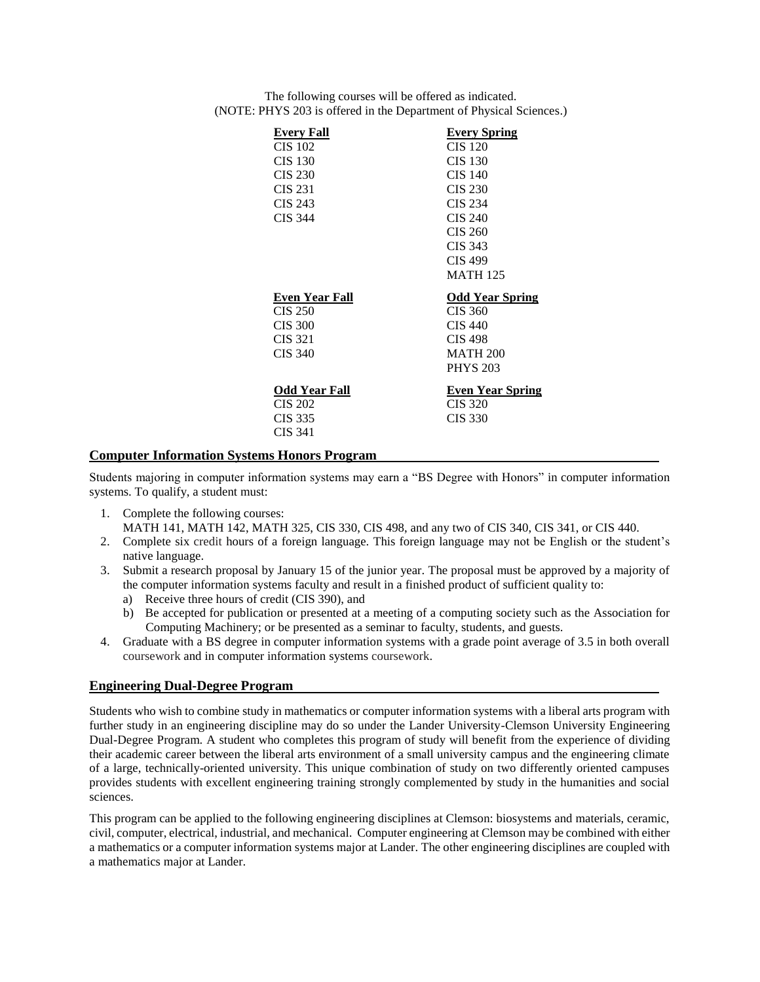| Every Fall<br><b>CIS 102</b><br><b>CIS 130</b><br><b>CIS 230</b><br><b>CIS 231</b><br>CIS 243<br><b>CIS 344</b> | <b>Every Spring</b><br><b>CIS 120</b><br><b>CIS 130</b><br><b>CIS 140</b><br><b>CIS 230</b><br>CIS 234<br><b>CIS 240</b><br>CIS 260<br>CIS 343<br><b>CIS 499</b><br><b>MATH 125</b> |
|-----------------------------------------------------------------------------------------------------------------|-------------------------------------------------------------------------------------------------------------------------------------------------------------------------------------|
| Even Year Fall<br>CIS 250<br>CIS 300<br>CIS 321<br>CIS 340                                                      | <b>Odd Year Spring</b><br>CIS 360<br>CIS 440<br><b>CIS 498</b><br><b>MATH 200</b><br><b>PHYS 203</b>                                                                                |
| <b>Odd Year Fall</b><br>CIS 202<br>CIS 335<br><b>CIS 341</b>                                                    | <b>Even Year Spring</b><br><b>CIS 320</b><br>CIS 330                                                                                                                                |

The following courses will be offered as indicated. (NOTE: PHYS 203 is offered in the Department of Physical Sciences.)

### **Computer Information Systems Honors Program**

Students majoring in computer information systems may earn a "BS Degree with Honors" in computer information systems. To qualify, a student must:

- 1. Complete the following courses: MATH 141, MATH 142, MATH 325, CIS 330, CIS 498, and any two of CIS 340, CIS 341, or CIS 440.
- 2. Complete six credit hours of a foreign language. This foreign language may not be English or the student's native language.
- 3. Submit a research proposal by January 15 of the junior year. The proposal must be approved by a majority of the computer information systems faculty and result in a finished product of sufficient quality to:
	- a) Receive three hours of credit (CIS 390), and
	- b) Be accepted for publication or presented at a meeting of a computing society such as the Association for Computing Machinery; or be presented as a seminar to faculty, students, and guests.
- 4. Graduate with a BS degree in computer information systems with a grade point average of 3.5 in both overall coursework and in computer information systems coursework.

### **Engineering Dual-Degree Program**

Students who wish to combine study in mathematics or computer information systems with a liberal arts program with further study in an engineering discipline may do so under the Lander University-Clemson University Engineering Dual-Degree Program. A student who completes this program of study will benefit from the experience of dividing their academic career between the liberal arts environment of a small university campus and the engineering climate of a large, technically-oriented university. This unique combination of study on two differently oriented campuses provides students with excellent engineering training strongly complemented by study in the humanities and social sciences.

This program can be applied to the following engineering disciplines at Clemson: biosystems and materials, ceramic, civil, computer, electrical, industrial, and mechanical. Computer engineering at Clemson may be combined with either a mathematics or a computer information systems major at Lander. The other engineering disciplines are coupled with a mathematics major at Lander.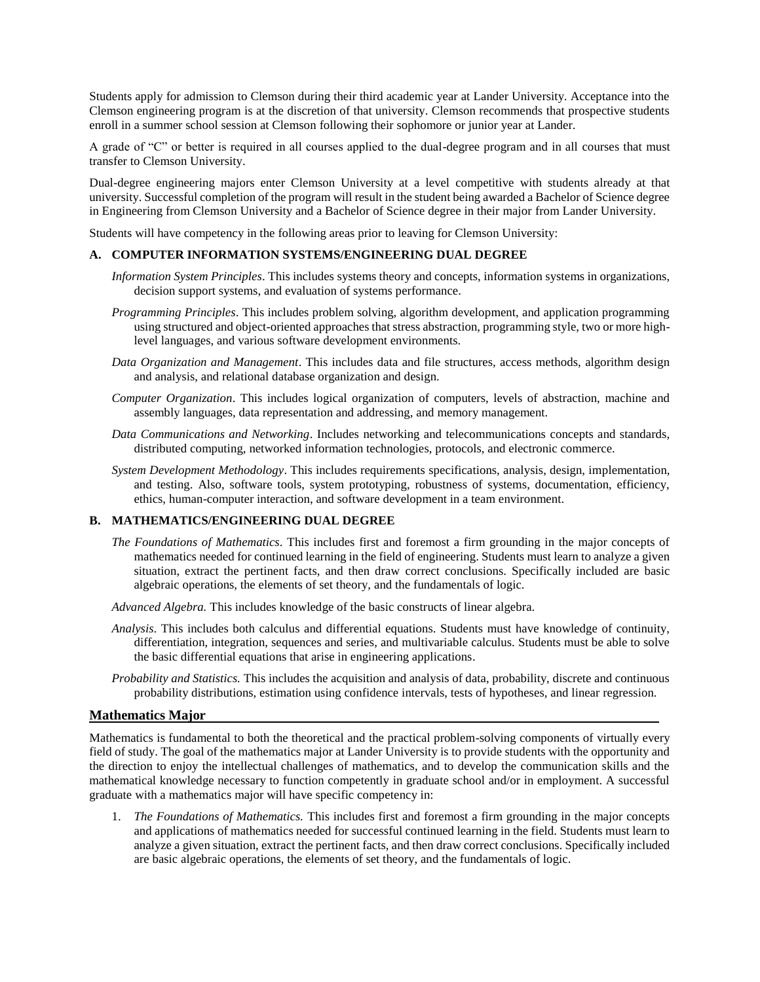Students apply for admission to Clemson during their third academic year at Lander University. Acceptance into the Clemson engineering program is at the discretion of that university. Clemson recommends that prospective students enroll in a summer school session at Clemson following their sophomore or junior year at Lander.

A grade of "C" or better is required in all courses applied to the dual-degree program and in all courses that must transfer to Clemson University.

Dual-degree engineering majors enter Clemson University at a level competitive with students already at that university. Successful completion of the program will result in the student being awarded a Bachelor of Science degree in Engineering from Clemson University and a Bachelor of Science degree in their major from Lander University.

Students will have competency in the following areas prior to leaving for Clemson University:

#### **A. COMPUTER INFORMATION SYSTEMS/ENGINEERING DUAL DEGREE**

- *Information System Principles*. This includes systems theory and concepts, information systems in organizations, decision support systems, and evaluation of systems performance.
- *Programming Principles*. This includes problem solving, algorithm development, and application programming using structured and object-oriented approaches that stress abstraction, programming style, two or more highlevel languages, and various software development environments.
- *Data Organization and Management*. This includes data and file structures, access methods, algorithm design and analysis, and relational database organization and design.
- *Computer Organization*. This includes logical organization of computers, levels of abstraction, machine and assembly languages, data representation and addressing, and memory management.
- *Data Communications and Networking*. Includes networking and telecommunications concepts and standards, distributed computing, networked information technologies, protocols, and electronic commerce.
- *System Development Methodology*. This includes requirements specifications, analysis, design, implementation, and testing. Also, software tools, system prototyping, robustness of systems, documentation, efficiency, ethics, human-computer interaction, and software development in a team environment.

### **B. MATHEMATICS/ENGINEERING DUAL DEGREE**

*The Foundations of Mathematics*. This includes first and foremost a firm grounding in the major concepts of mathematics needed for continued learning in the field of engineering. Students must learn to analyze a given situation, extract the pertinent facts, and then draw correct conclusions. Specifically included are basic algebraic operations, the elements of set theory, and the fundamentals of logic.

*Advanced Algebra.* This includes knowledge of the basic constructs of linear algebra.

- *Analysis*. This includes both calculus and differential equations. Students must have knowledge of continuity, differentiation, integration, sequences and series, and multivariable calculus. Students must be able to solve the basic differential equations that arise in engineering applications.
- *Probability and Statistics.* This includes the acquisition and analysis of data, probability, discrete and continuous probability distributions, estimation using confidence intervals, tests of hypotheses, and linear regression.

#### **Mathematics Major**

Mathematics is fundamental to both the theoretical and the practical problem-solving components of virtually every field of study. The goal of the mathematics major at Lander University is to provide students with the opportunity and the direction to enjoy the intellectual challenges of mathematics, and to develop the communication skills and the mathematical knowledge necessary to function competently in graduate school and/or in employment. A successful graduate with a mathematics major will have specific competency in:

1. *The Foundations of Mathematics.* This includes first and foremost a firm grounding in the major concepts and applications of mathematics needed for successful continued learning in the field. Students must learn to analyze a given situation, extract the pertinent facts, and then draw correct conclusions. Specifically included are basic algebraic operations, the elements of set theory, and the fundamentals of logic.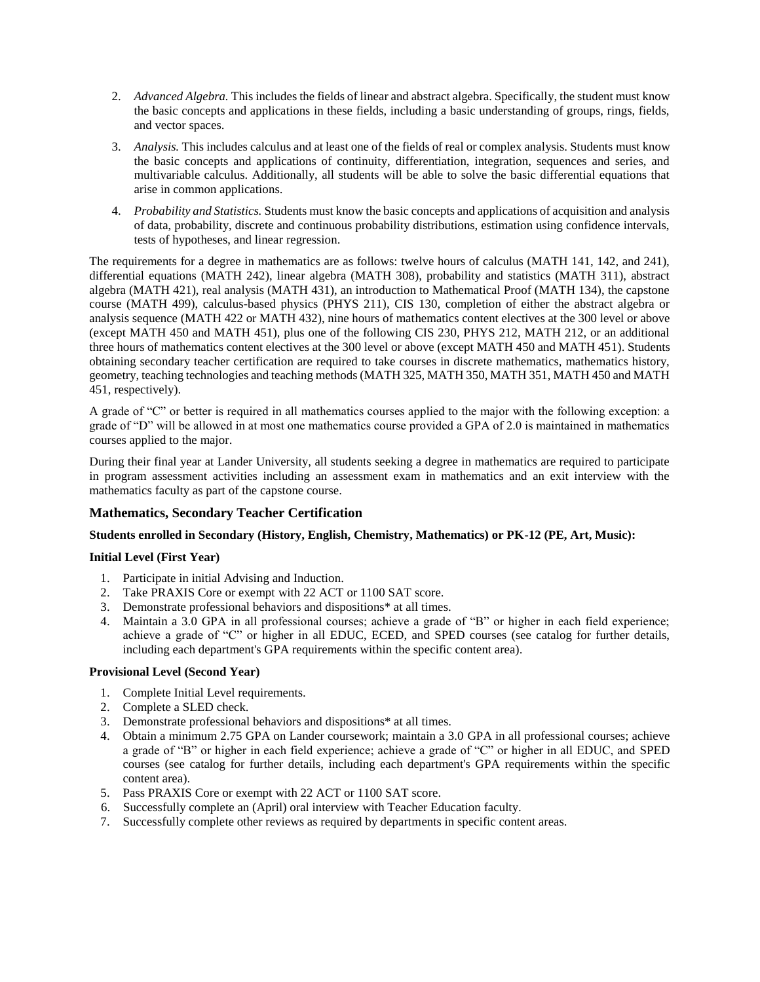- 2. *Advanced Algebra.* This includes the fields of linear and abstract algebra. Specifically, the student must know the basic concepts and applications in these fields, including a basic understanding of groups, rings, fields, and vector spaces.
- 3. *Analysis.* This includes calculus and at least one of the fields of real or complex analysis. Students must know the basic concepts and applications of continuity, differentiation, integration, sequences and series, and multivariable calculus. Additionally, all students will be able to solve the basic differential equations that arise in common applications.
- 4. *Probability and Statistics.* Students must know the basic concepts and applications of acquisition and analysis of data, probability, discrete and continuous probability distributions, estimation using confidence intervals, tests of hypotheses, and linear regression.

The requirements for a degree in mathematics are as follows: twelve hours of calculus (MATH 141, 142, and 241), differential equations (MATH 242), linear algebra (MATH 308), probability and statistics (MATH 311), abstract algebra (MATH 421), real analysis (MATH 431), an introduction to Mathematical Proof (MATH 134), the capstone course (MATH 499), calculus-based physics (PHYS 211), CIS 130, completion of either the abstract algebra or analysis sequence (MATH 422 or MATH 432), nine hours of mathematics content electives at the 300 level or above (except MATH 450 and MATH 451), plus one of the following CIS 230, PHYS 212, MATH 212, or an additional three hours of mathematics content electives at the 300 level or above (except MATH 450 and MATH 451). Students obtaining secondary teacher certification are required to take courses in discrete mathematics, mathematics history, geometry, teaching technologies and teaching methods (MATH 325, MATH 350, MATH 351, MATH 450 and MATH 451, respectively).

A grade of "C" or better is required in all mathematics courses applied to the major with the following exception: a grade of "D" will be allowed in at most one mathematics course provided a GPA of 2.0 is maintained in mathematics courses applied to the major.

During their final year at Lander University, all students seeking a degree in mathematics are required to participate in program assessment activities including an assessment exam in mathematics and an exit interview with the mathematics faculty as part of the capstone course.

### **Mathematics, Secondary Teacher Certification**

### **Students enrolled in Secondary (History, English, Chemistry, Mathematics) or PK-12 (PE, Art, Music):**

### **Initial Level (First Year)**

- 1. Participate in initial Advising and Induction.
- 2. Take PRAXIS Core or exempt with 22 ACT or 1100 SAT score.
- 3. Demonstrate professional behaviors and dispositions\* at all times.
- 4. Maintain a 3.0 GPA in all professional courses; achieve a grade of "B" or higher in each field experience; achieve a grade of "C" or higher in all EDUC, ECED, and SPED courses (see catalog for further details, including each department's GPA requirements within the specific content area).

### **Provisional Level (Second Year)**

- 1. Complete Initial Level requirements.
- 2. Complete a SLED check.
- 3. Demonstrate professional behaviors and dispositions\* at all times.
- 4. Obtain a minimum 2.75 GPA on Lander coursework; maintain a 3.0 GPA in all professional courses; achieve a grade of "B" or higher in each field experience; achieve a grade of "C" or higher in all EDUC, and SPED courses (see catalog for further details, including each department's GPA requirements within the specific content area).
- 5. Pass PRAXIS Core or exempt with 22 ACT or 1100 SAT score.
- 6. Successfully complete an (April) oral interview with Teacher Education faculty.
- 7. Successfully complete other reviews as required by departments in specific content areas.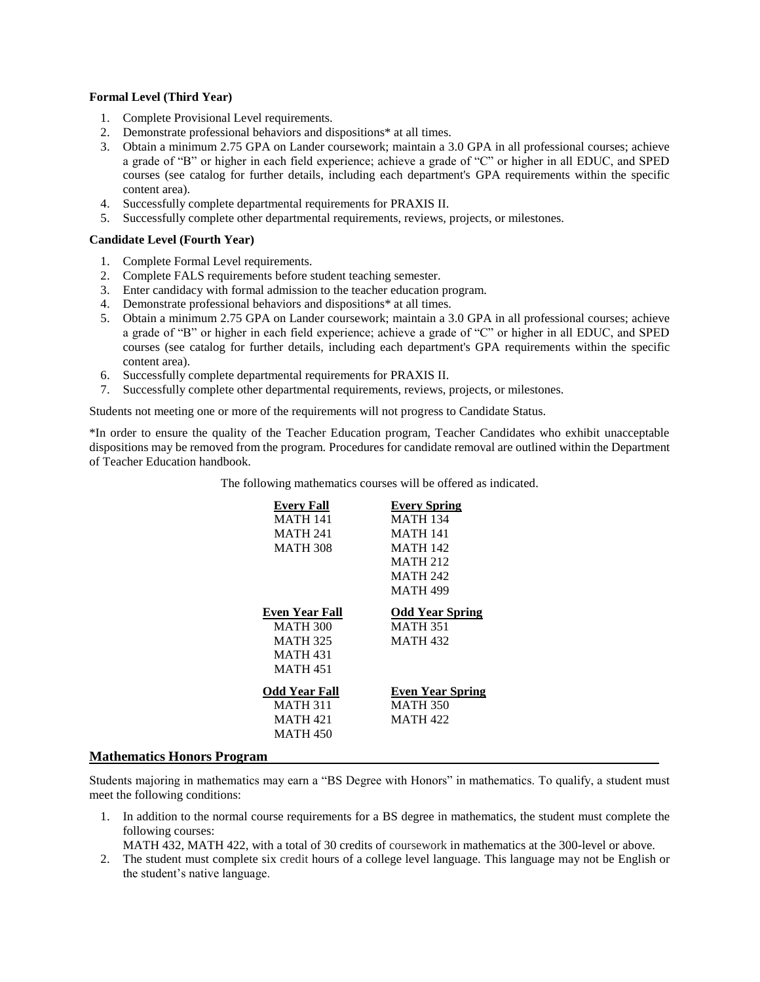### **Formal Level (Third Year)**

- 1. Complete Provisional Level requirements.
- 2. Demonstrate professional behaviors and dispositions\* at all times.
- 3. Obtain a minimum 2.75 GPA on Lander coursework; maintain a 3.0 GPA in all professional courses; achieve a grade of "B" or higher in each field experience; achieve a grade of "C" or higher in all EDUC, and SPED courses (see catalog for further details, including each department's GPA requirements within the specific content area).
- 4. Successfully complete departmental requirements for PRAXIS II.
- 5. Successfully complete other departmental requirements, reviews, projects, or milestones.

### **Candidate Level (Fourth Year)**

- 1. Complete Formal Level requirements.
- 2. Complete FALS requirements before student teaching semester.
- 3. Enter candidacy with formal admission to the teacher education program.
- 4. Demonstrate professional behaviors and dispositions\* at all times.
- 5. Obtain a minimum 2.75 GPA on Lander coursework; maintain a 3.0 GPA in all professional courses; achieve a grade of "B" or higher in each field experience; achieve a grade of "C" or higher in all EDUC, and SPED courses (see catalog for further details, including each department's GPA requirements within the specific content area).
- 6. Successfully complete departmental requirements for PRAXIS II.
- 7. Successfully complete other departmental requirements, reviews, projects, or milestones.

Students not meeting one or more of the requirements will not progress to Candidate Status.

\*In order to ensure the quality of the Teacher Education program, Teacher Candidates who exhibit unacceptable dispositions may be removed from the program. Procedures for candidate removal are outlined within the Department of Teacher Education handbook.

The following mathematics courses will be offered as indicated.

| <b>Every Fall</b>    | <b>Every Spring</b>    |
|----------------------|------------------------|
| <b>MATH 141</b>      | <b>MATH 134</b>        |
| <b>MATH 241</b>      | <b>MATH 141</b>        |
| <b>MATH 308</b>      | <b>MATH 142</b>        |
|                      | <b>MATH 212</b>        |
|                      | <b>MATH 242</b>        |
|                      | <b>MATH 499</b>        |
| Even Year Fall       | <b>Odd Year Spring</b> |
| <b>MATH 300</b>      | <b>MATH 351</b>        |
| <b>MATH 325</b>      | <b>MATH 432</b>        |
| <b>MATH 431</b>      |                        |
| <b>MATH 451</b>      |                        |
| <b>Odd Year Fall</b> | Even Year Spring       |
| <b>MATH 311</b>      | <b>MATH 350</b>        |
| <b>MATH 421</b>      | MATH 422               |
| <b>MATH 450</b>      |                        |
|                      |                        |

### **Mathematics Honors Program**

Students majoring in mathematics may earn a "BS Degree with Honors" in mathematics. To qualify, a student must meet the following conditions:

1. In addition to the normal course requirements for a BS degree in mathematics, the student must complete the following courses:

MATH 432, MATH 422, with a total of 30 credits of coursework in mathematics at the 300-level or above.

2. The student must complete six credit hours of a college level language. This language may not be English or the student's native language.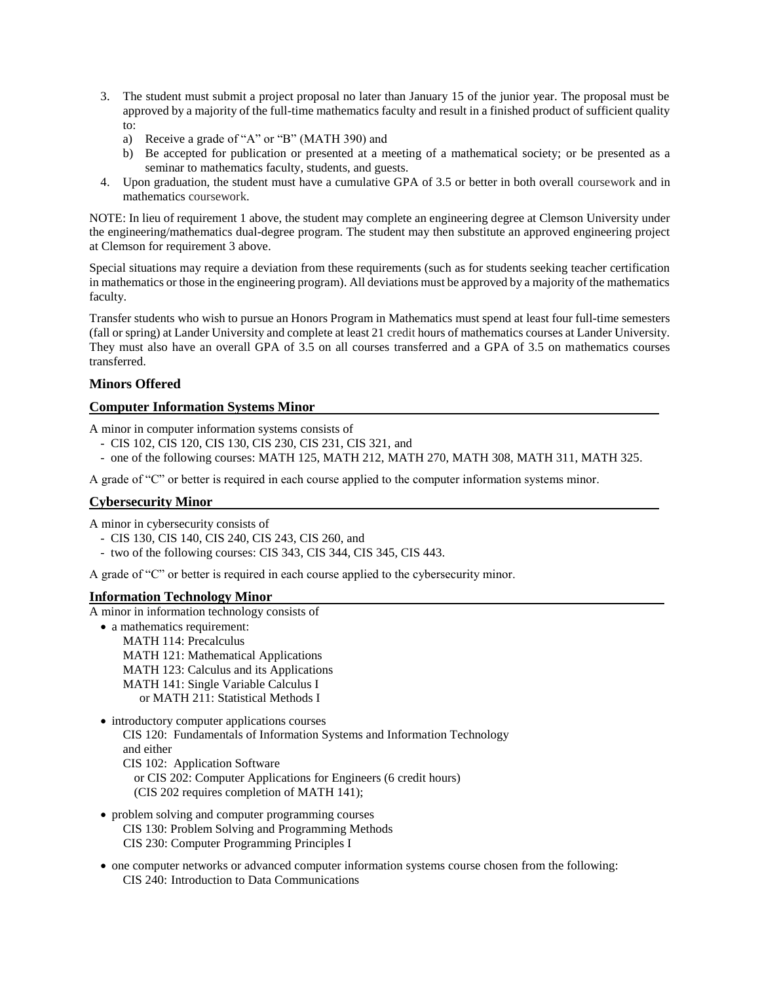- 3. The student must submit a project proposal no later than January 15 of the junior year. The proposal must be approved by a majority of the full-time mathematics faculty and result in a finished product of sufficient quality to:
	- a) Receive a grade of "A" or "B" (MATH 390) and
	- b) Be accepted for publication or presented at a meeting of a mathematical society; or be presented as a seminar to mathematics faculty, students, and guests.
- 4. Upon graduation, the student must have a cumulative GPA of 3.5 or better in both overall coursework and in mathematics coursework.

NOTE: In lieu of requirement 1 above, the student may complete an engineering degree at Clemson University under the engineering/mathematics dual-degree program. The student may then substitute an approved engineering project at Clemson for requirement 3 above.

Special situations may require a deviation from these requirements (such as for students seeking teacher certification in mathematics or those in the engineering program). All deviations must be approved by a majority of the mathematics faculty.

Transfer students who wish to pursue an Honors Program in Mathematics must spend at least four full-time semesters (fall or spring) at Lander University and complete at least 21 credit hours of mathematics courses at Lander University. They must also have an overall GPA of 3.5 on all courses transferred and a GPA of 3.5 on mathematics courses transferred.

### **Minors Offered**

### **Computer Information Systems Minor**

A minor in computer information systems consists of

- CIS 102, CIS 120, CIS 130, CIS 230, CIS 231, CIS 321, and
- one of the following courses: MATH 125, MATH 212, MATH 270, MATH 308, MATH 311, MATH 325.

A grade of "C" or better is required in each course applied to the computer information systems minor.

#### **Cybersecurity Minor**

A minor in cybersecurity consists of

- CIS 130, CIS 140, CIS 240, CIS 243, CIS 260, and
- two of the following courses: CIS 343, CIS 344, CIS 345, CIS 443.

A grade of "C" or better is required in each course applied to the cybersecurity minor.

#### **Information Technology Minor**

A minor in information technology consists of

- a mathematics requirement: MATH 114: Precalculus MATH 121: Mathematical Applications MATH 123: Calculus and its Applications MATH 141: Single Variable Calculus I or MATH 211: Statistical Methods I
- introductory computer applications courses CIS 120: Fundamentals of Information Systems and Information Technology and either CIS 102: Application Software or CIS 202: Computer Applications for Engineers (6 credit hours)
	- (CIS 202 requires completion of MATH 141);
- problem solving and computer programming courses CIS 130: Problem Solving and Programming Methods CIS 230: Computer Programming Principles I
- one computer networks or advanced computer information systems course chosen from the following: CIS 240: Introduction to Data Communications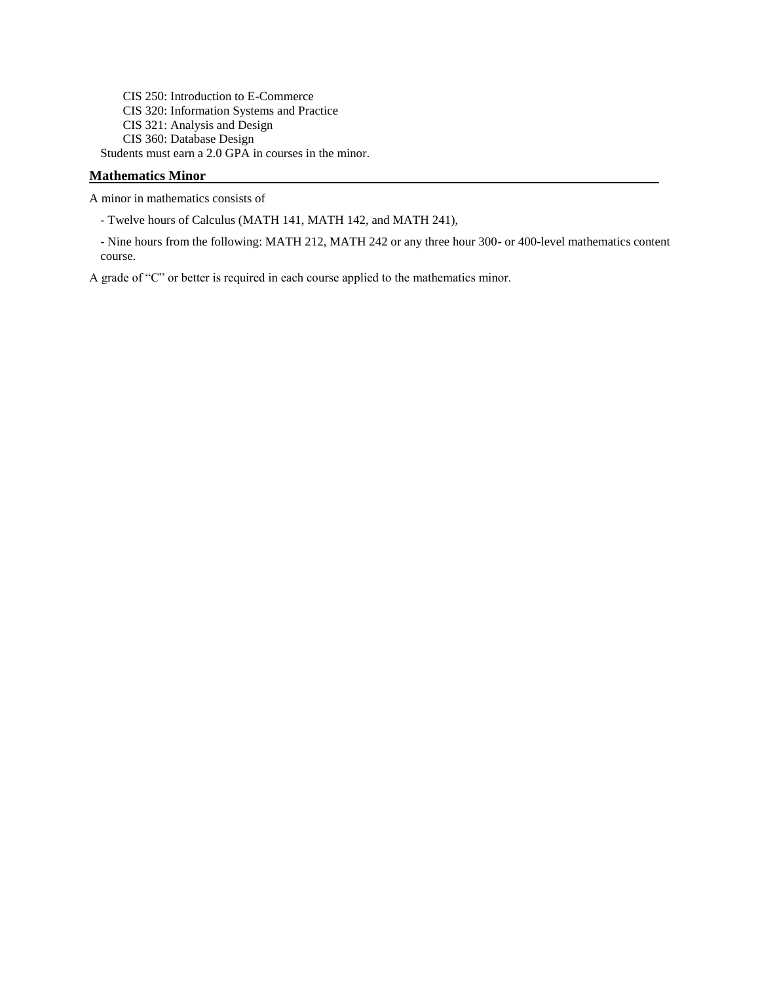CIS 250: Introduction to E-Commerce CIS 320: Information Systems and Practice CIS 321: Analysis and Design CIS 360: Database Design Students must earn a 2.0 GPA in courses in the minor.

### **Mathematics Minor**

A minor in mathematics consists of

- Twelve hours of Calculus (MATH 141, MATH 142, and MATH 241),

- Nine hours from the following: MATH 212, MATH 242 or any three hour 300- or 400-level mathematics content course.

A grade of "C" or better is required in each course applied to the mathematics minor.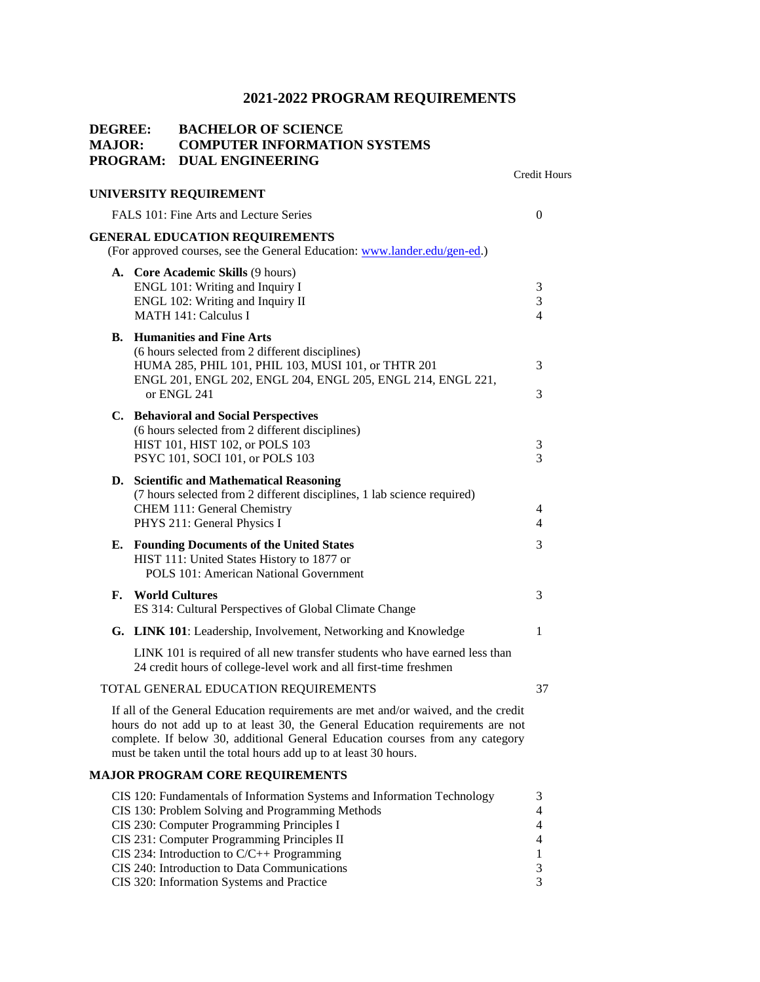### **DEGREE: BACHELOR OF SCIENCE MAJOR: COMPUTER INFORMATION SYSTEMS PROGRAM: DUAL ENGINEERING** Credit Hours **UNIVERSITY REQUIREMENT**  FALS 101: Fine Arts and Lecture Series 0 **GENERAL EDUCATION REQUIREMENTS** (For approved courses, see the General Education: [www.lander.edu/gen-ed.\)](http://www.lander.edu/gen-ed) **A. Core Academic Skills** (9 hours) ENGL 101: Writing and Inquiry I 3 ENGL 102: Writing and Inquiry II 3 MATH 141: Calculus I 4 **B. Humanities and Fine Arts** (6 hours selected from 2 different disciplines) HUMA 285, PHIL 101, PHIL 103, MUSI 101, or THTR 201 3 ENGL 201, ENGL 202, ENGL 204, ENGL 205, ENGL 214, ENGL 221, or ENGL 241  $\overline{3}$ **C. Behavioral and Social Perspectives** (6 hours selected from 2 different disciplines) HIST 101, HIST 102, or POLS 103 3 PSYC 101, SOCI 101, or POLS 103 3 **D. Scientific and Mathematical Reasoning** (7 hours selected from 2 different disciplines, 1 lab science required) CHEM 111: General Chemistry 4 PHYS 211: General Physics I 4 **E. Founding Documents of the United States** 3 HIST 111: United States History to 1877 or POLS 101: American National Government **F. World Cultures** 3 ES 314: Cultural Perspectives of Global Climate Change **G.** LINK 101: Leadership, Involvement, Networking and Knowledge 1 LINK 101 is required of all new transfer students who have earned less than 24 credit hours of college-level work and all first-time freshmen TOTAL GENERAL EDUCATION REQUIREMENTS 37 If all of the General Education requirements are met and/or waived, and the credit hours do not add up to at least 30, the General Education requirements are not complete. If below 30, additional General Education courses from any category must be taken until the total hours add up to at least 30 hours. **MAJOR PROGRAM CORE REQUIREMENTS** CIS 120: Fundamentals of Information Systems and Information Technology 3 CIS 130: Problem Solving and Programming Methods 4 CIS 230: Computer Programming Principles I 4 CIS 231: Computer Programming Principles II 4 CIS 234: Introduction to  $C/C++$  Programming 1

CIS 240: Introduction to Data Communications 3 CIS 320: Information Systems and Practice 3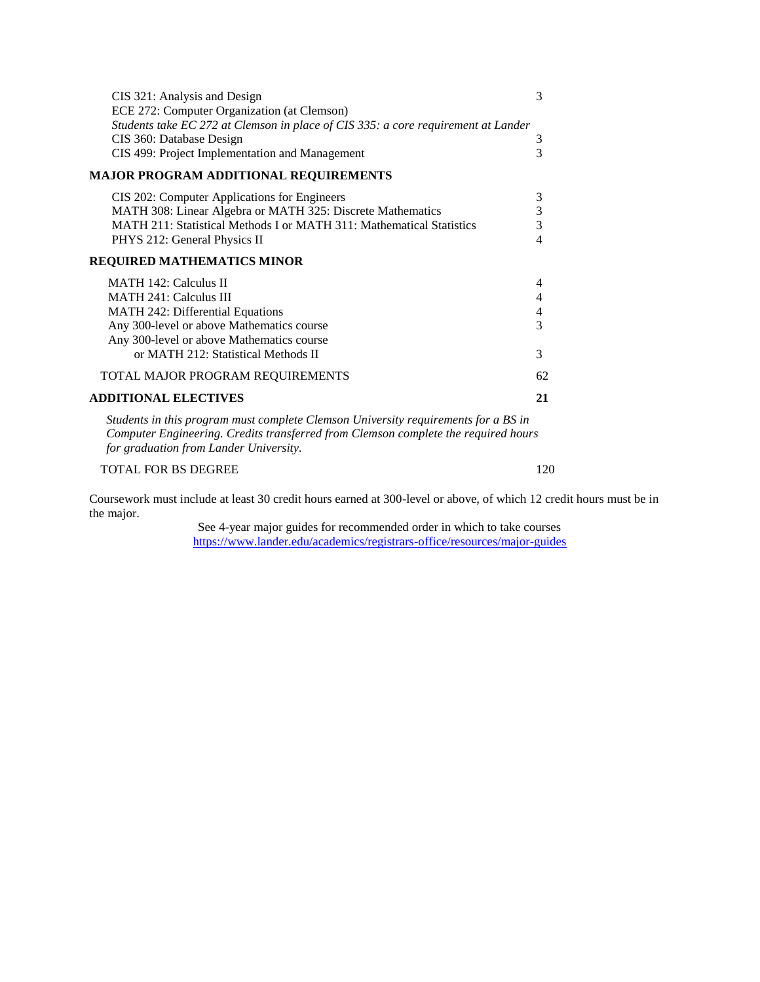| CIS 321: Analysis and Design                                                                                                                                                                                       | 3              |
|--------------------------------------------------------------------------------------------------------------------------------------------------------------------------------------------------------------------|----------------|
| ECE 272: Computer Organization (at Clemson)                                                                                                                                                                        |                |
| Students take EC 272 at Clemson in place of CIS 335: a core requirement at Lander                                                                                                                                  |                |
| CIS 360: Database Design                                                                                                                                                                                           | 3              |
| CIS 499: Project Implementation and Management                                                                                                                                                                     | 3              |
| <b>MAJOR PROGRAM ADDITIONAL REQUIREMENTS</b>                                                                                                                                                                       |                |
| CIS 202: Computer Applications for Engineers                                                                                                                                                                       | 3              |
| MATH 308: Linear Algebra or MATH 325: Discrete Mathematics                                                                                                                                                         | 3              |
| MATH 211: Statistical Methods I or MATH 311: Mathematical Statistics                                                                                                                                               | $\overline{3}$ |
| PHYS 212: General Physics II                                                                                                                                                                                       | 4              |
| <b>REQUIRED MATHEMATICS MINOR</b>                                                                                                                                                                                  |                |
| <b>MATH 142: Calculus II</b>                                                                                                                                                                                       | 4              |
| <b>MATH 241: Calculus III</b>                                                                                                                                                                                      | 4              |
| MATH 242: Differential Equations                                                                                                                                                                                   | 4              |
| Any 300-level or above Mathematics course                                                                                                                                                                          | 3              |
| Any 300-level or above Mathematics course                                                                                                                                                                          |                |
| or MATH 212: Statistical Methods II                                                                                                                                                                                | 3              |
| TOTAL MAJOR PROGRAM REQUIREMENTS                                                                                                                                                                                   | 62             |
| <b>ADDITIONAL ELECTIVES</b>                                                                                                                                                                                        | 21             |
| Students in this program must complete Clemson University requirements for a BS in<br>Computer Engineering. Credits transferred from Clemson complete the required hours<br>for graduation from Lander University. |                |
| <b>TOTAL FOR BS DEGREE</b>                                                                                                                                                                                         | 120            |

Coursework must include at least 30 credit hours earned at 300-level or above, of which 12 credit hours must be in the major.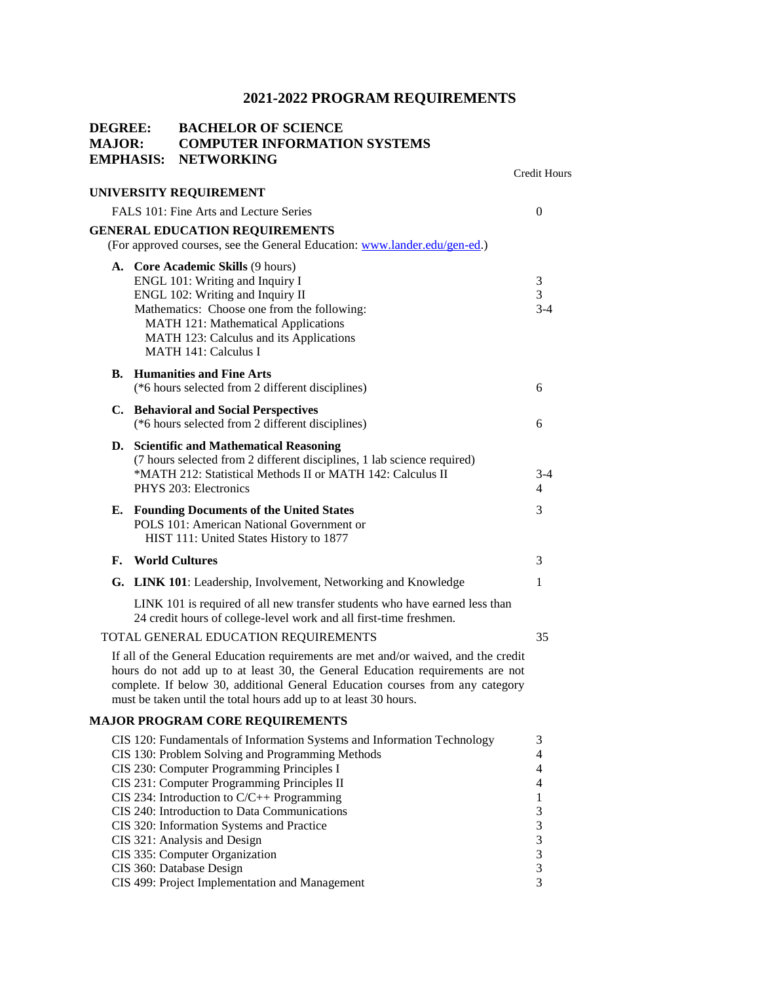| <b>DEGREE:</b><br><b>MAJOR:</b> | <b>EMPHASIS:</b> | <b>BACHELOR OF SCIENCE</b><br><b>COMPUTER INFORMATION SYSTEMS</b><br><b>NETWORKING</b>                                                                                                                                                                                                                                                                                                                                                                                                                                | <b>Credit Hours</b>                                 |
|---------------------------------|------------------|-----------------------------------------------------------------------------------------------------------------------------------------------------------------------------------------------------------------------------------------------------------------------------------------------------------------------------------------------------------------------------------------------------------------------------------------------------------------------------------------------------------------------|-----------------------------------------------------|
|                                 |                  | UNIVERSITY REQUIREMENT                                                                                                                                                                                                                                                                                                                                                                                                                                                                                                |                                                     |
|                                 |                  | FALS 101: Fine Arts and Lecture Series                                                                                                                                                                                                                                                                                                                                                                                                                                                                                | $\theta$                                            |
|                                 |                  | <b>GENERAL EDUCATION REQUIREMENTS</b><br>(For approved courses, see the General Education: www.lander.edu/gen-ed.)                                                                                                                                                                                                                                                                                                                                                                                                    |                                                     |
|                                 |                  | A. Core Academic Skills (9 hours)<br>ENGL 101: Writing and Inquiry I<br>ENGL 102: Writing and Inquiry II<br>Mathematics: Choose one from the following:<br>MATH 121: Mathematical Applications<br>MATH 123: Calculus and its Applications<br><b>MATH 141: Calculus I</b>                                                                                                                                                                                                                                              | 3<br>3<br>$3 - 4$                                   |
|                                 |                  | <b>B.</b> Humanities and Fine Arts<br>(*6 hours selected from 2 different disciplines)                                                                                                                                                                                                                                                                                                                                                                                                                                | 6                                                   |
|                                 |                  | C. Behavioral and Social Perspectives<br>(*6 hours selected from 2 different disciplines)                                                                                                                                                                                                                                                                                                                                                                                                                             | 6                                                   |
|                                 |                  | D. Scientific and Mathematical Reasoning<br>(7 hours selected from 2 different disciplines, 1 lab science required)<br>*MATH 212: Statistical Methods II or MATH 142: Calculus II<br>PHYS 203: Electronics                                                                                                                                                                                                                                                                                                            | $3 - 4$<br>4                                        |
| Е.                              |                  | <b>Founding Documents of the United States</b><br>POLS 101: American National Government or<br>HIST 111: United States History to 1877                                                                                                                                                                                                                                                                                                                                                                                | 3                                                   |
| F.                              |                  | <b>World Cultures</b>                                                                                                                                                                                                                                                                                                                                                                                                                                                                                                 | 3                                                   |
|                                 |                  | G. LINK 101: Leadership, Involvement, Networking and Knowledge                                                                                                                                                                                                                                                                                                                                                                                                                                                        | 1                                                   |
|                                 |                  | LINK 101 is required of all new transfer students who have earned less than<br>24 credit hours of college-level work and all first-time freshmen.                                                                                                                                                                                                                                                                                                                                                                     |                                                     |
|                                 |                  | TOTAL GENERAL EDUCATION REQUIREMENTS                                                                                                                                                                                                                                                                                                                                                                                                                                                                                  | 35                                                  |
|                                 |                  | If all of the General Education requirements are met and/or waived, and the credit<br>hours do not add up to at least 30, the General Education requirements are not<br>complete. If below 30, additional General Education courses from any category<br>must be taken until the total hours add up to at least 30 hours.                                                                                                                                                                                             |                                                     |
|                                 |                  | <b>MAJOR PROGRAM CORE REQUIREMENTS</b>                                                                                                                                                                                                                                                                                                                                                                                                                                                                                |                                                     |
|                                 |                  | CIS 120: Fundamentals of Information Systems and Information Technology<br>CIS 130: Problem Solving and Programming Methods<br>CIS 230: Computer Programming Principles I<br>CIS 231: Computer Programming Principles II<br>CIS 234: Introduction to $C/C++$ Programming<br>CIS 240: Introduction to Data Communications<br>CIS 320: Information Systems and Practice<br>CIS 321: Analysis and Design<br>CIS 335: Computer Organization<br>CIS 360: Database Design<br>CIS 499: Project Implementation and Management | 3<br>4<br>4<br>4<br>1<br>3<br>3<br>3<br>3<br>3<br>3 |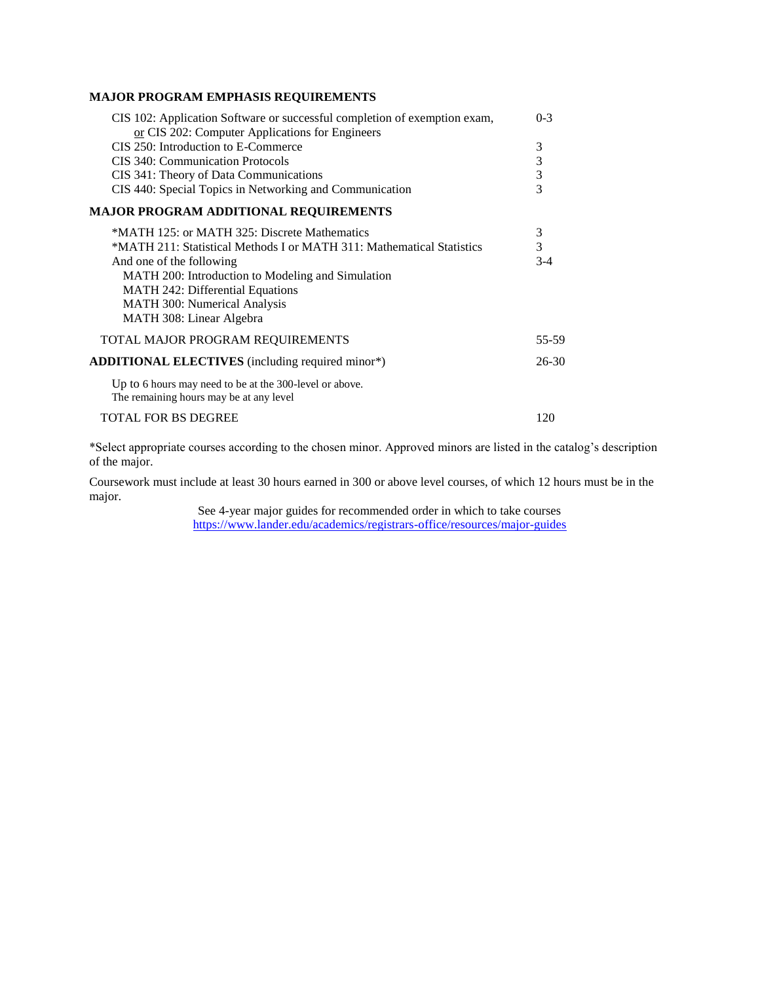### **MAJOR PROGRAM EMPHASIS REQUIREMENTS**

| CIS 102: Application Software or successful completion of exemption exam,                          | $0 - 3$        |
|----------------------------------------------------------------------------------------------------|----------------|
| or CIS 202: Computer Applications for Engineers                                                    |                |
| CIS 250: Introduction to E-Commerce                                                                | 3              |
| CIS 340: Communication Protocols                                                                   | 3              |
| CIS 341: Theory of Data Communications                                                             | 3              |
| CIS 440: Special Topics in Networking and Communication                                            | $\overline{3}$ |
| <b>MAJOR PROGRAM ADDITIONAL REQUIREMENTS</b>                                                       |                |
| *MATH 125: or MATH 325: Discrete Mathematics                                                       | 3              |
| *MATH 211: Statistical Methods I or MATH 311: Mathematical Statistics                              | $\overline{3}$ |
| And one of the following                                                                           | $3-4$          |
| MATH 200: Introduction to Modeling and Simulation                                                  |                |
| <b>MATH 242: Differential Equations</b>                                                            |                |
| <b>MATH 300: Numerical Analysis</b>                                                                |                |
| MATH 308: Linear Algebra                                                                           |                |
| TOTAL MAJOR PROGRAM REQUIREMENTS                                                                   | 55-59          |
| ADDITIONAL ELECTIVES (including required minor*)                                                   | $26 - 30$      |
| Up to 6 hours may need to be at the 300-level or above.<br>The remaining hours may be at any level |                |
| <b>TOTAL FOR BS DEGREE</b>                                                                         | 120            |

\*Select appropriate courses according to the chosen minor. Approved minors are listed in the catalog's description of the major.

Coursework must include at least 30 hours earned in 300 or above level courses, of which 12 hours must be in the major.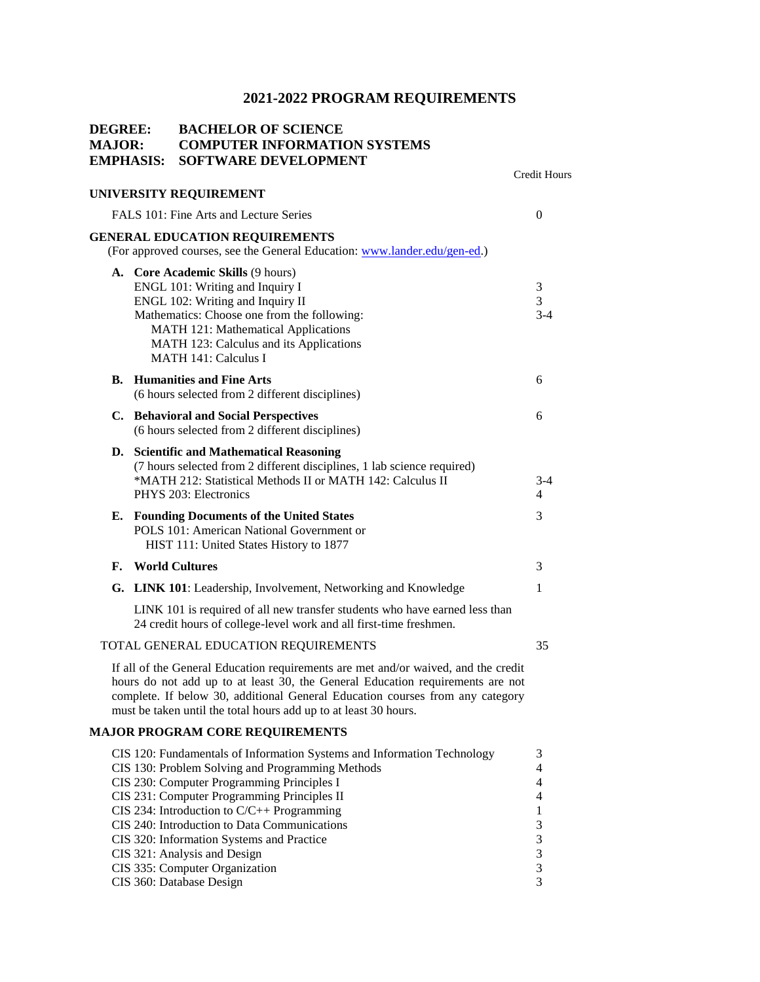| <b>DEGREE:</b><br><b>MAJOR:</b> | EMPHASIS: | <b>BACHELOR OF SCIENCE</b><br><b>COMPUTER INFORMATION SYSTEMS</b><br><b>SOFTWARE DEVELOPMENT</b>                                                                                                                                                                                                                                                                                                                                                                    |                                                           |
|---------------------------------|-----------|---------------------------------------------------------------------------------------------------------------------------------------------------------------------------------------------------------------------------------------------------------------------------------------------------------------------------------------------------------------------------------------------------------------------------------------------------------------------|-----------------------------------------------------------|
|                                 |           | UNIVERSITY REQUIREMENT                                                                                                                                                                                                                                                                                                                                                                                                                                              | Credit Hours                                              |
|                                 |           | FALS 101: Fine Arts and Lecture Series                                                                                                                                                                                                                                                                                                                                                                                                                              | $\overline{0}$                                            |
|                                 |           | <b>GENERAL EDUCATION REQUIREMENTS</b>                                                                                                                                                                                                                                                                                                                                                                                                                               |                                                           |
|                                 |           | (For approved courses, see the General Education: www.lander.edu/gen-ed.)                                                                                                                                                                                                                                                                                                                                                                                           |                                                           |
|                                 |           | A. Core Academic Skills (9 hours)<br>ENGL 101: Writing and Inquiry I<br>ENGL 102: Writing and Inquiry II<br>Mathematics: Choose one from the following:<br>MATH 121: Mathematical Applications<br>MATH 123: Calculus and its Applications<br><b>MATH 141: Calculus I</b>                                                                                                                                                                                            | 3<br>3<br>$3 - 4$                                         |
|                                 |           | <b>B.</b> Humanities and Fine Arts<br>(6 hours selected from 2 different disciplines)                                                                                                                                                                                                                                                                                                                                                                               | 6                                                         |
|                                 |           | C. Behavioral and Social Perspectives<br>(6 hours selected from 2 different disciplines)                                                                                                                                                                                                                                                                                                                                                                            | 6                                                         |
|                                 |           | D. Scientific and Mathematical Reasoning<br>(7 hours selected from 2 different disciplines, 1 lab science required)<br>*MATH 212: Statistical Methods II or MATH 142: Calculus II<br>PHYS 203: Electronics                                                                                                                                                                                                                                                          | 3-4<br>4                                                  |
| Е.                              |           | <b>Founding Documents of the United States</b><br>POLS 101: American National Government or<br>HIST 111: United States History to 1877                                                                                                                                                                                                                                                                                                                              | 3                                                         |
| F.                              |           | <b>World Cultures</b>                                                                                                                                                                                                                                                                                                                                                                                                                                               | 3                                                         |
|                                 |           | G. LINK 101: Leadership, Involvement, Networking and Knowledge                                                                                                                                                                                                                                                                                                                                                                                                      | 1                                                         |
|                                 |           | LINK 101 is required of all new transfer students who have earned less than<br>24 credit hours of college-level work and all first-time freshmen.                                                                                                                                                                                                                                                                                                                   |                                                           |
|                                 |           | TOTAL GENERAL EDUCATION REQUIREMENTS                                                                                                                                                                                                                                                                                                                                                                                                                                | 35                                                        |
|                                 |           | If all of the General Education requirements are met and/or waived, and the credit<br>hours do not add up to at least 30, the General Education requirements are not<br>complete. If below 30, additional General Education courses from any category<br>must be taken until the total hours add up to at least 30 hours.                                                                                                                                           |                                                           |
|                                 |           | <b>MAJOR PROGRAM CORE REQUIREMENTS</b>                                                                                                                                                                                                                                                                                                                                                                                                                              |                                                           |
|                                 |           | CIS 120: Fundamentals of Information Systems and Information Technology<br>CIS 130: Problem Solving and Programming Methods<br>CIS 230: Computer Programming Principles I<br>CIS 231: Computer Programming Principles II<br>CIS 234: Introduction to $C/C++$ Programming<br>CIS 240: Introduction to Data Communications<br>CIS 320: Information Systems and Practice<br>CIS 321: Analysis and Design<br>CIS 335: Computer Organization<br>CIS 360: Database Design | 3<br>4<br>4<br>4<br>$\mathbf{1}$<br>3<br>3<br>3<br>3<br>3 |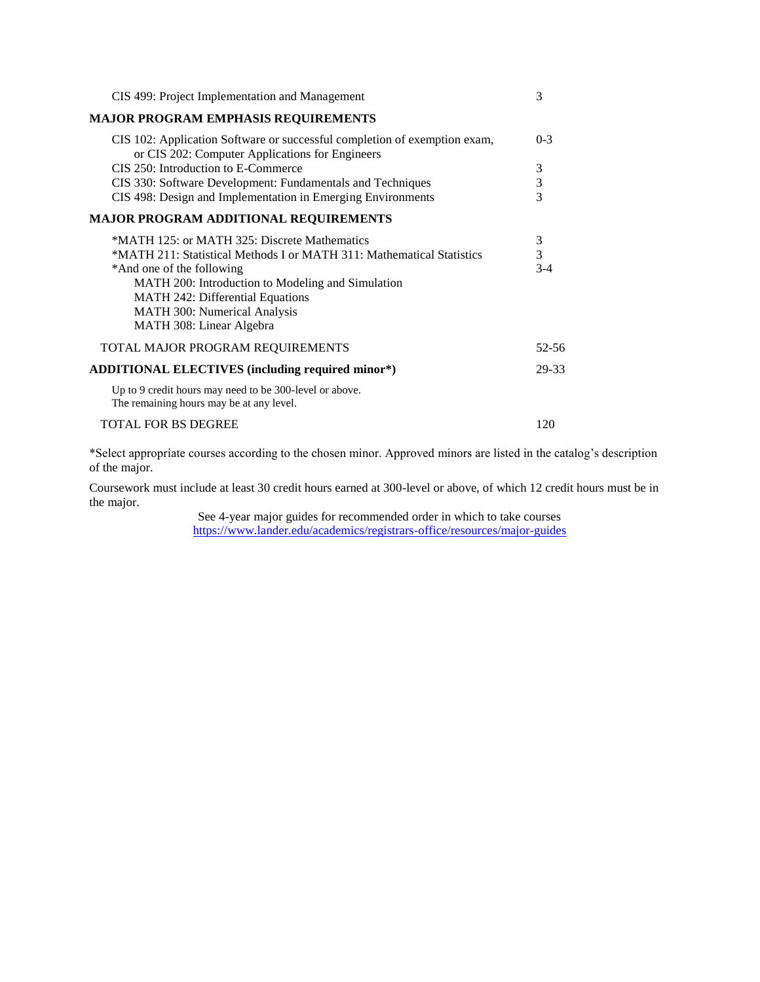| CIS 499: Project Implementation and Management                                                                               | 3              |
|------------------------------------------------------------------------------------------------------------------------------|----------------|
| <b>MAJOR PROGRAM EMPHASIS REQUIREMENTS</b>                                                                                   |                |
| CIS 102: Application Software or successful completion of exemption exam,<br>or CIS 202: Computer Applications for Engineers | $0 - 3$        |
| CIS 250: Introduction to E-Commerce                                                                                          | 3              |
| CIS 330: Software Development: Fundamentals and Techniques                                                                   | $\mathfrak{Z}$ |
| CIS 498: Design and Implementation in Emerging Environments                                                                  | 3              |
| <b>MAJOR PROGRAM ADDITIONAL REQUIREMENTS</b>                                                                                 |                |
| *MATH 125: or MATH 325: Discrete Mathematics                                                                                 | 3              |
| *MATH 211: Statistical Methods I or MATH 311: Mathematical Statistics                                                        | 3              |
| *And one of the following                                                                                                    | $3-4$          |
| MATH 200: Introduction to Modeling and Simulation                                                                            |                |
| MATH 242: Differential Equations                                                                                             |                |
| MATH 300: Numerical Analysis                                                                                                 |                |
| MATH 308: Linear Algebra                                                                                                     |                |
| TOTAL MAJOR PROGRAM REQUIREMENTS                                                                                             | 52-56          |
| <b>ADDITIONAL ELECTIVES (including required minor*)</b>                                                                      | 29-33          |
| Up to 9 credit hours may need to be 300-level or above.<br>The remaining hours may be at any level.                          |                |
| <b>TOTAL FOR BS DEGREE</b>                                                                                                   | 120            |

\*Select appropriate courses according to the chosen minor. Approved minors are listed in the catalog's description of the major.

Coursework must include at least 30 credit hours earned at 300-level or above, of which 12 credit hours must be in the major.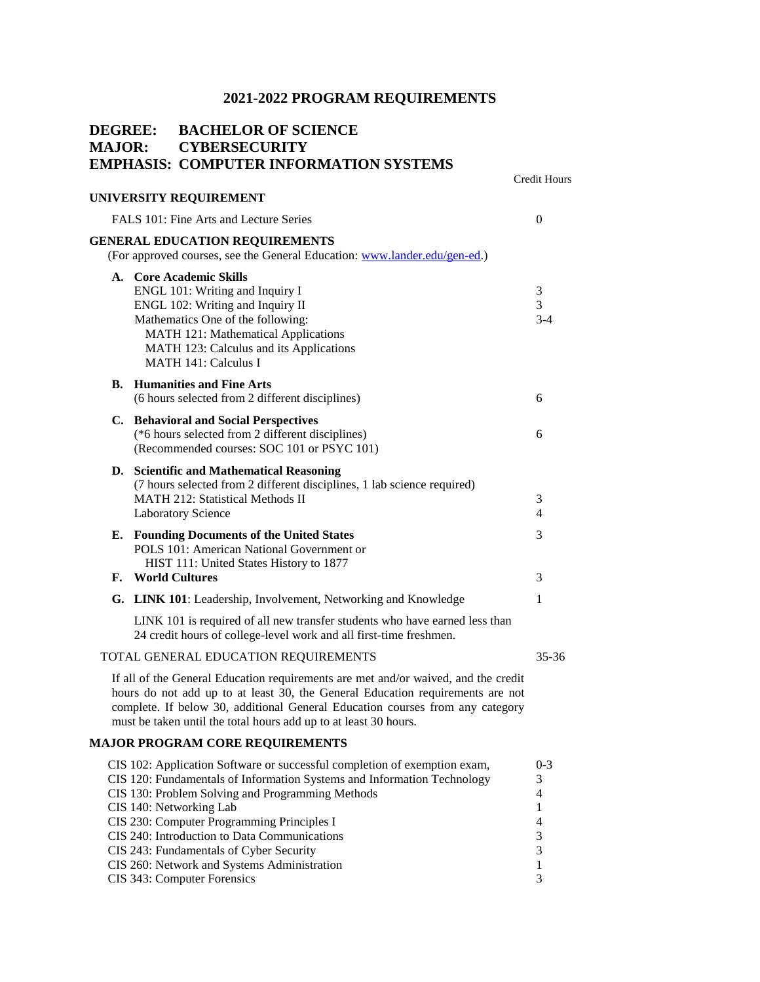|    | <b>MAJOR:</b>         | <b>DEGREE: BACHELOR OF SCIENCE</b><br><b>CYBERSECURITY</b><br><b>EMPHASIS: COMPUTER INFORMATION SYSTEMS</b>                                                                                                                                                                                                                                                                                                                                                |                                                                                      |
|----|-----------------------|------------------------------------------------------------------------------------------------------------------------------------------------------------------------------------------------------------------------------------------------------------------------------------------------------------------------------------------------------------------------------------------------------------------------------------------------------------|--------------------------------------------------------------------------------------|
|    |                       | UNIVERSITY REQUIREMENT                                                                                                                                                                                                                                                                                                                                                                                                                                     | <b>Credit Hours</b>                                                                  |
|    |                       | FALS 101: Fine Arts and Lecture Series                                                                                                                                                                                                                                                                                                                                                                                                                     | $\theta$                                                                             |
|    |                       | <b>GENERAL EDUCATION REQUIREMENTS</b><br>(For approved courses, see the General Education: www.lander.edu/gen-ed.)                                                                                                                                                                                                                                                                                                                                         |                                                                                      |
|    |                       | A. Core Academic Skills<br>ENGL 101: Writing and Inquiry I<br>ENGL 102: Writing and Inquiry II<br>Mathematics One of the following:<br>MATH 121: Mathematical Applications<br>MATH 123: Calculus and its Applications<br><b>MATH 141: Calculus I</b>                                                                                                                                                                                                       | 3<br>3<br>$3 - 4$                                                                    |
|    |                       | <b>B.</b> Humanities and Fine Arts<br>(6 hours selected from 2 different disciplines)                                                                                                                                                                                                                                                                                                                                                                      | 6                                                                                    |
|    |                       | C. Behavioral and Social Perspectives<br>(*6 hours selected from 2 different disciplines)<br>(Recommended courses: SOC 101 or PSYC 101)                                                                                                                                                                                                                                                                                                                    | 6                                                                                    |
|    |                       | D. Scientific and Mathematical Reasoning<br>(7 hours selected from 2 different disciplines, 1 lab science required)<br><b>MATH 212: Statistical Methods II</b><br><b>Laboratory Science</b>                                                                                                                                                                                                                                                                | 3<br>$\overline{4}$                                                                  |
| F. | <b>World Cultures</b> | <b>E.</b> Founding Documents of the United States<br>POLS 101: American National Government or<br>HIST 111: United States History to 1877                                                                                                                                                                                                                                                                                                                  | 3<br>3                                                                               |
|    |                       | G. LINK 101: Leadership, Involvement, Networking and Knowledge                                                                                                                                                                                                                                                                                                                                                                                             | 1                                                                                    |
|    |                       | LINK 101 is required of all new transfer students who have earned less than<br>24 credit hours of college-level work and all first-time freshmen.                                                                                                                                                                                                                                                                                                          |                                                                                      |
|    |                       | TOTAL GENERAL EDUCATION REQUIREMENTS                                                                                                                                                                                                                                                                                                                                                                                                                       | $35 - 36$                                                                            |
|    |                       | If all of the General Education requirements are met and/or waived, and the credit<br>hours do not add up to at least 30, the General Education requirements are not<br>complete. If below 30, additional General Education courses from any category<br>must be taken until the total hours add up to at least 30 hours.                                                                                                                                  |                                                                                      |
|    |                       | <b>MAJOR PROGRAM CORE REQUIREMENTS</b>                                                                                                                                                                                                                                                                                                                                                                                                                     |                                                                                      |
|    |                       | CIS 102: Application Software or successful completion of exemption exam,<br>CIS 120: Fundamentals of Information Systems and Information Technology<br>CIS 130: Problem Solving and Programming Methods<br>CIS 140: Networking Lab<br>CIS 230: Computer Programming Principles I<br>CIS 240: Introduction to Data Communications<br>CIS 243: Fundamentals of Cyber Security<br>CIS 260: Network and Systems Administration<br>CIS 343: Computer Forensics | $0 - 3$<br>3<br>$\overline{4}$<br>1<br>4<br>3<br>$\mathfrak{Z}$<br>$\mathbf{1}$<br>3 |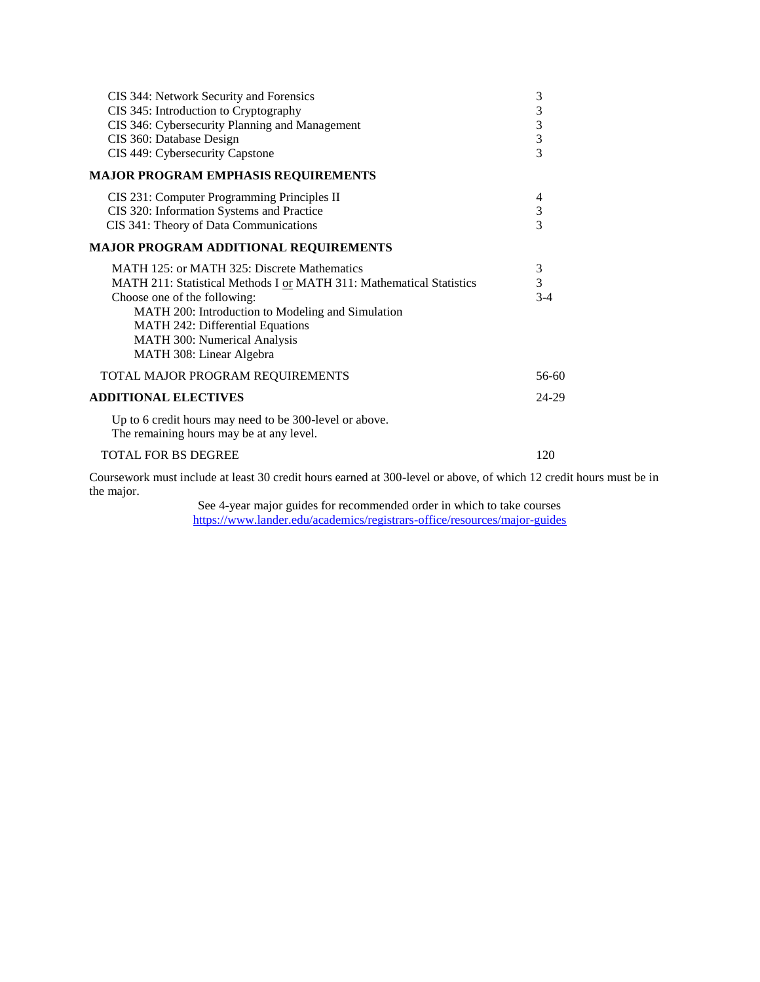| CIS 344: Network Security and Forensics<br>CIS 345: Introduction to Cryptography                                   | 3<br>3         |  |
|--------------------------------------------------------------------------------------------------------------------|----------------|--|
| CIS 346: Cybersecurity Planning and Management                                                                     | $\mathfrak{Z}$ |  |
| CIS 360: Database Design                                                                                           | $\mathfrak{Z}$ |  |
| CIS 449: Cybersecurity Capstone                                                                                    | $\overline{3}$ |  |
| <b>MAJOR PROGRAM EMPHASIS REQUIREMENTS</b>                                                                         |                |  |
| CIS 231: Computer Programming Principles II                                                                        | 4              |  |
| CIS 320: Information Systems and Practice                                                                          | $\mathfrak{Z}$ |  |
| CIS 341: Theory of Data Communications                                                                             | 3              |  |
| <b>MAJOR PROGRAM ADDITIONAL REQUIREMENTS</b>                                                                       |                |  |
| MATH 125: or MATH 325: Discrete Mathematics                                                                        | 3              |  |
| MATH 211: Statistical Methods I or MATH 311: Mathematical Statistics                                               | 3              |  |
| Choose one of the following:                                                                                       | $3-4$          |  |
| MATH 200: Introduction to Modeling and Simulation                                                                  |                |  |
| <b>MATH 242: Differential Equations</b>                                                                            |                |  |
| MATH 300: Numerical Analysis                                                                                       |                |  |
| MATH 308: Linear Algebra                                                                                           |                |  |
| TOTAL MAJOR PROGRAM REQUIREMENTS                                                                                   | 56-60          |  |
| <b>ADDITIONAL ELECTIVES</b>                                                                                        | 24-29          |  |
| Up to 6 credit hours may need to be 300-level or above.<br>The remaining hours may be at any level.                |                |  |
| <b>TOTAL FOR BS DEGREE</b>                                                                                         | 120            |  |
| Coursework must include at least 30 credit hours earned at 300-level or above, of which 12 credit hours must be in |                |  |

the major.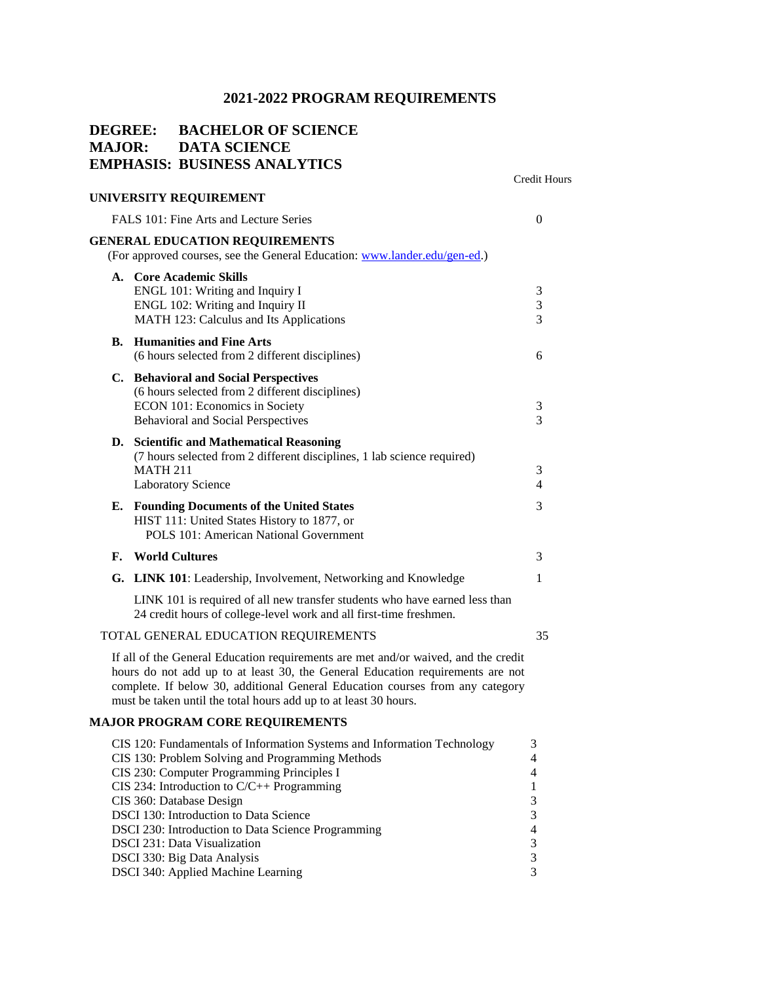### **DEGREE: BACHELOR OF SCIENCE MAJOR: DATA SCIENCE EMPHASIS: BUSINESS ANALYTICS**

|                                                                                                                                                                                                                                                                                                                           | <b>Credit Hours</b> |
|---------------------------------------------------------------------------------------------------------------------------------------------------------------------------------------------------------------------------------------------------------------------------------------------------------------------------|---------------------|
| UNIVERSITY REQUIREMENT                                                                                                                                                                                                                                                                                                    |                     |
| FALS 101: Fine Arts and Lecture Series                                                                                                                                                                                                                                                                                    | $\mathbf{0}$        |
| <b>GENERAL EDUCATION REQUIREMENTS</b><br>(For approved courses, see the General Education: www.lander.edu/gen-ed.)                                                                                                                                                                                                        |                     |
| A. Core Academic Skills<br>ENGL 101: Writing and Inquiry I<br>ENGL 102: Writing and Inquiry II<br>MATH 123: Calculus and Its Applications                                                                                                                                                                                 | 3<br>3<br>3         |
| <b>Humanities and Fine Arts</b><br>В.<br>(6 hours selected from 2 different disciplines)                                                                                                                                                                                                                                  | 6                   |
| C. Behavioral and Social Perspectives<br>(6 hours selected from 2 different disciplines)<br>ECON 101: Economics in Society<br>Behavioral and Social Perspectives                                                                                                                                                          | 3<br>3              |
| D. Scientific and Mathematical Reasoning<br>(7 hours selected from 2 different disciplines, 1 lab science required)<br><b>MATH 211</b><br><b>Laboratory Science</b>                                                                                                                                                       | 3<br>$\overline{4}$ |
| <b>Founding Documents of the United States</b><br>Е.<br>HIST 111: United States History to 1877, or<br>POLS 101: American National Government                                                                                                                                                                             | 3                   |
| <b>World Cultures</b><br>F.                                                                                                                                                                                                                                                                                               | 3                   |
| <b>LINK 101</b> : Leadership, Involvement, Networking and Knowledge<br>G.                                                                                                                                                                                                                                                 | $\mathbf{1}$        |
| LINK 101 is required of all new transfer students who have earned less than<br>24 credit hours of college-level work and all first-time freshmen.                                                                                                                                                                         |                     |
| TOTAL GENERAL EDUCATION REQUIREMENTS                                                                                                                                                                                                                                                                                      | 35                  |
| If all of the General Education requirements are met and/or waived, and the credit<br>hours do not add up to at least 30, the General Education requirements are not<br>complete. If below 30, additional General Education courses from any category<br>must be taken until the total hours add up to at least 30 hours. |                     |

### **MAJOR PROGRAM CORE REQUIREMENTS**

| CIS 120: Fundamentals of Information Systems and Information Technology | 3              |
|-------------------------------------------------------------------------|----------------|
| CIS 130: Problem Solving and Programming Methods                        | $\overline{4}$ |
| CIS 230: Computer Programming Principles I                              | $\overline{4}$ |
| CIS 234: Introduction to $C/C++$ Programming                            | 1              |
| CIS 360: Database Design                                                | 3              |
| <b>DSCI</b> 130: Introduction to Data Science                           | 3              |
| <b>DSCI</b> 230: Introduction to Data Science Programming               | $\overline{4}$ |
| <b>DSCI</b> 231: Data Visualization                                     | 3              |
| DSCI 330: Big Data Analysis                                             | 3              |
| DSCI 340: Applied Machine Learning                                      | 3              |
|                                                                         |                |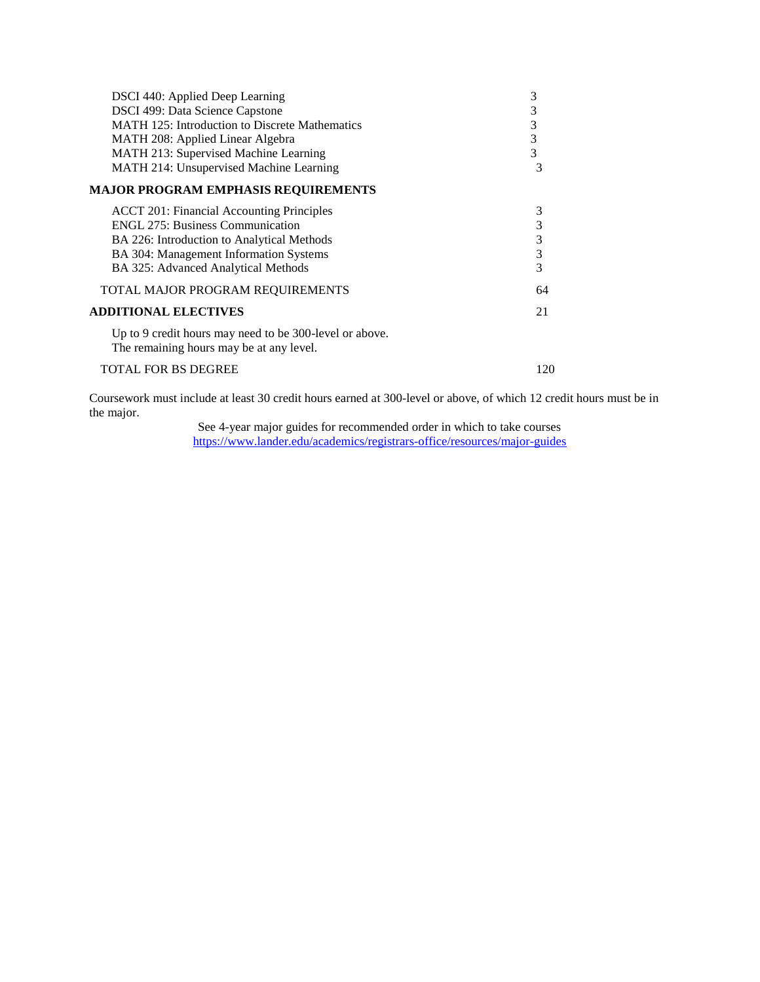| DSCI 440: Applied Deep Learning<br>DSCI 499: Data Science Capstone<br><b>MATH 125: Introduction to Discrete Mathematics</b><br>MATH 208: Applied Linear Algebra<br>MATH 213: Supervised Machine Learning<br>MATH 214: Unsupervised Machine Learning | 3<br>3<br>3<br>3<br>3<br>3     |
|-----------------------------------------------------------------------------------------------------------------------------------------------------------------------------------------------------------------------------------------------------|--------------------------------|
| <b>MAJOR PROGRAM EMPHASIS REQUIREMENTS</b>                                                                                                                                                                                                          |                                |
| <b>ACCT 201: Financial Accounting Principles</b><br><b>ENGL 275: Business Communication</b><br>BA 226: Introduction to Analytical Methods<br>BA 304: Management Information Systems<br>BA 325: Advanced Analytical Methods                          | 3<br>3<br>$\sqrt{3}$<br>3<br>3 |
| TOTAL MAJOR PROGRAM REQUIREMENTS                                                                                                                                                                                                                    | 64                             |
| <b>ADDITIONAL ELECTIVES</b>                                                                                                                                                                                                                         | 21                             |
| Up to 9 credit hours may need to be 300-level or above.<br>The remaining hours may be at any level.                                                                                                                                                 |                                |
| TOTAL FOR BS DEGREE                                                                                                                                                                                                                                 | 120                            |

Coursework must include at least 30 credit hours earned at 300-level or above, of which 12 credit hours must be in the major.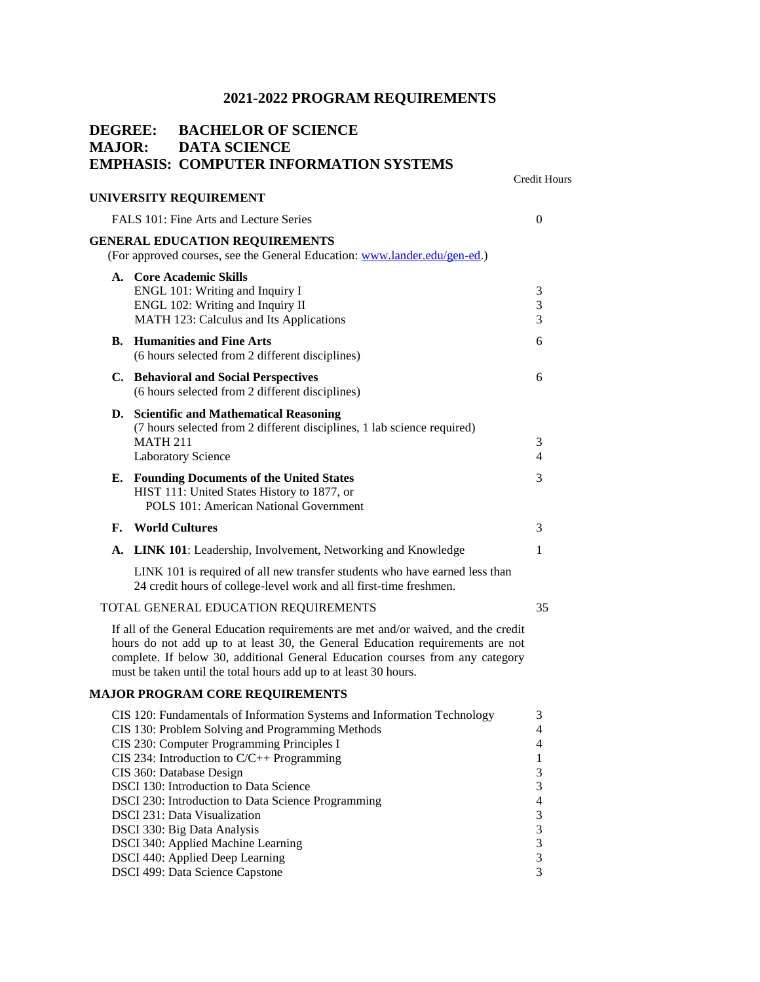| <b>DEGREE:</b><br><b>MAJOR:</b> | <b>BACHELOR OF SCIENCE</b><br><b>DATA SCIENCE</b> | Credit Hours                                                                                                                                                                                                                                                                                                                                                                                                                                                                                                                                                                                                                                                                                                                                                                                                                                                                                                                                                                                                                                                                                                                                                                                                                                                                                                                                                                                                                                                                                                                                                                                                                                                                                                                                                                                                                                                                                                                                                                                                                                                                                      |
|---------------------------------|---------------------------------------------------|---------------------------------------------------------------------------------------------------------------------------------------------------------------------------------------------------------------------------------------------------------------------------------------------------------------------------------------------------------------------------------------------------------------------------------------------------------------------------------------------------------------------------------------------------------------------------------------------------------------------------------------------------------------------------------------------------------------------------------------------------------------------------------------------------------------------------------------------------------------------------------------------------------------------------------------------------------------------------------------------------------------------------------------------------------------------------------------------------------------------------------------------------------------------------------------------------------------------------------------------------------------------------------------------------------------------------------------------------------------------------------------------------------------------------------------------------------------------------------------------------------------------------------------------------------------------------------------------------------------------------------------------------------------------------------------------------------------------------------------------------------------------------------------------------------------------------------------------------------------------------------------------------------------------------------------------------------------------------------------------------------------------------------------------------------------------------------------------------|
|                                 |                                                   |                                                                                                                                                                                                                                                                                                                                                                                                                                                                                                                                                                                                                                                                                                                                                                                                                                                                                                                                                                                                                                                                                                                                                                                                                                                                                                                                                                                                                                                                                                                                                                                                                                                                                                                                                                                                                                                                                                                                                                                                                                                                                                   |
|                                 |                                                   | $\overline{0}$                                                                                                                                                                                                                                                                                                                                                                                                                                                                                                                                                                                                                                                                                                                                                                                                                                                                                                                                                                                                                                                                                                                                                                                                                                                                                                                                                                                                                                                                                                                                                                                                                                                                                                                                                                                                                                                                                                                                                                                                                                                                                    |
|                                 |                                                   |                                                                                                                                                                                                                                                                                                                                                                                                                                                                                                                                                                                                                                                                                                                                                                                                                                                                                                                                                                                                                                                                                                                                                                                                                                                                                                                                                                                                                                                                                                                                                                                                                                                                                                                                                                                                                                                                                                                                                                                                                                                                                                   |
|                                 |                                                   | 3<br>3<br>3                                                                                                                                                                                                                                                                                                                                                                                                                                                                                                                                                                                                                                                                                                                                                                                                                                                                                                                                                                                                                                                                                                                                                                                                                                                                                                                                                                                                                                                                                                                                                                                                                                                                                                                                                                                                                                                                                                                                                                                                                                                                                       |
|                                 |                                                   | 6                                                                                                                                                                                                                                                                                                                                                                                                                                                                                                                                                                                                                                                                                                                                                                                                                                                                                                                                                                                                                                                                                                                                                                                                                                                                                                                                                                                                                                                                                                                                                                                                                                                                                                                                                                                                                                                                                                                                                                                                                                                                                                 |
|                                 |                                                   | 6                                                                                                                                                                                                                                                                                                                                                                                                                                                                                                                                                                                                                                                                                                                                                                                                                                                                                                                                                                                                                                                                                                                                                                                                                                                                                                                                                                                                                                                                                                                                                                                                                                                                                                                                                                                                                                                                                                                                                                                                                                                                                                 |
|                                 |                                                   | 3<br>4                                                                                                                                                                                                                                                                                                                                                                                                                                                                                                                                                                                                                                                                                                                                                                                                                                                                                                                                                                                                                                                                                                                                                                                                                                                                                                                                                                                                                                                                                                                                                                                                                                                                                                                                                                                                                                                                                                                                                                                                                                                                                            |
|                                 |                                                   | 3                                                                                                                                                                                                                                                                                                                                                                                                                                                                                                                                                                                                                                                                                                                                                                                                                                                                                                                                                                                                                                                                                                                                                                                                                                                                                                                                                                                                                                                                                                                                                                                                                                                                                                                                                                                                                                                                                                                                                                                                                                                                                                 |
|                                 |                                                   | 3                                                                                                                                                                                                                                                                                                                                                                                                                                                                                                                                                                                                                                                                                                                                                                                                                                                                                                                                                                                                                                                                                                                                                                                                                                                                                                                                                                                                                                                                                                                                                                                                                                                                                                                                                                                                                                                                                                                                                                                                                                                                                                 |
|                                 |                                                   | 1                                                                                                                                                                                                                                                                                                                                                                                                                                                                                                                                                                                                                                                                                                                                                                                                                                                                                                                                                                                                                                                                                                                                                                                                                                                                                                                                                                                                                                                                                                                                                                                                                                                                                                                                                                                                                                                                                                                                                                                                                                                                                                 |
|                                 |                                                   |                                                                                                                                                                                                                                                                                                                                                                                                                                                                                                                                                                                                                                                                                                                                                                                                                                                                                                                                                                                                                                                                                                                                                                                                                                                                                                                                                                                                                                                                                                                                                                                                                                                                                                                                                                                                                                                                                                                                                                                                                                                                                                   |
|                                 |                                                   | 35                                                                                                                                                                                                                                                                                                                                                                                                                                                                                                                                                                                                                                                                                                                                                                                                                                                                                                                                                                                                                                                                                                                                                                                                                                                                                                                                                                                                                                                                                                                                                                                                                                                                                                                                                                                                                                                                                                                                                                                                                                                                                                |
|                                 |                                                   |                                                                                                                                                                                                                                                                                                                                                                                                                                                                                                                                                                                                                                                                                                                                                                                                                                                                                                                                                                                                                                                                                                                                                                                                                                                                                                                                                                                                                                                                                                                                                                                                                                                                                                                                                                                                                                                                                                                                                                                                                                                                                                   |
|                                 |                                                   |                                                                                                                                                                                                                                                                                                                                                                                                                                                                                                                                                                                                                                                                                                                                                                                                                                                                                                                                                                                                                                                                                                                                                                                                                                                                                                                                                                                                                                                                                                                                                                                                                                                                                                                                                                                                                                                                                                                                                                                                                                                                                                   |
|                                 |                                                   | 3<br>$\overline{4}$<br>$\overline{4}$<br>$\mathbf{1}$<br>3<br>3<br>4<br>$\sqrt{3}$<br>3<br>3<br>3<br>3                                                                                                                                                                                                                                                                                                                                                                                                                                                                                                                                                                                                                                                                                                                                                                                                                                                                                                                                                                                                                                                                                                                                                                                                                                                                                                                                                                                                                                                                                                                                                                                                                                                                                                                                                                                                                                                                                                                                                                                            |
|                                 |                                                   | <b>EMPHASIS: COMPUTER INFORMATION SYSTEMS</b><br>UNIVERSITY REQUIREMENT<br>FALS 101: Fine Arts and Lecture Series<br><b>GENERAL EDUCATION REQUIREMENTS</b><br>(For approved courses, see the General Education: www.lander.edu/gen-ed.)<br>A. Core Academic Skills<br>ENGL 101: Writing and Inquiry I<br>ENGL 102: Writing and Inquiry II<br>MATH 123: Calculus and Its Applications<br><b>B.</b> Humanities and Fine Arts<br>(6 hours selected from 2 different disciplines)<br>C. Behavioral and Social Perspectives<br>(6 hours selected from 2 different disciplines)<br>D. Scientific and Mathematical Reasoning<br>(7 hours selected from 2 different disciplines, 1 lab science required)<br><b>MATH 211</b><br><b>Laboratory Science</b><br>E. Founding Documents of the United States<br>HIST 111: United States History to 1877, or<br>POLS 101: American National Government<br><b>World Cultures</b><br>A. LINK 101: Leadership, Involvement, Networking and Knowledge<br>LINK 101 is required of all new transfer students who have earned less than<br>24 credit hours of college-level work and all first-time freshmen.<br>TOTAL GENERAL EDUCATION REQUIREMENTS<br>If all of the General Education requirements are met and/or waived, and the credit<br>hours do not add up to at least 30, the General Education requirements are not<br>complete. If below 30, additional General Education courses from any category<br>must be taken until the total hours add up to at least 30 hours.<br><b>MAJOR PROGRAM CORE REQUIREMENTS</b><br>CIS 120: Fundamentals of Information Systems and Information Technology<br>CIS 130: Problem Solving and Programming Methods<br>CIS 230: Computer Programming Principles I<br>CIS 234: Introduction to $C/C++$ Programming<br>CIS 360: Database Design<br>DSCI 130: Introduction to Data Science<br>DSCI 230: Introduction to Data Science Programming<br><b>DSCI 231: Data Visualization</b><br>DSCI 330: Big Data Analysis<br>DSCI 340: Applied Machine Learning<br>DSCI 440: Applied Deep Learning<br>DSCI 499: Data Science Capstone |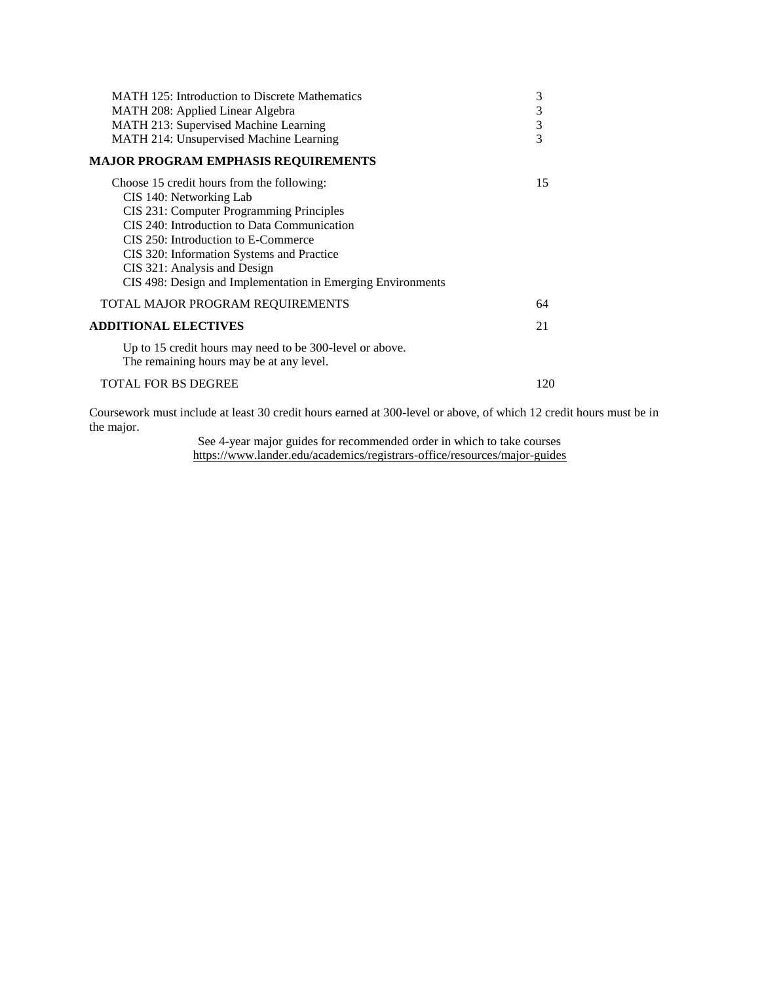| 3<br>MATH 208: Applied Linear Algebra<br>3<br>MATH 213: Supervised Machine Learning<br>$\overline{3}$<br>MATH 214: Unsupervised Machine Learning                                                                                                                                                                                                    |     |
|-----------------------------------------------------------------------------------------------------------------------------------------------------------------------------------------------------------------------------------------------------------------------------------------------------------------------------------------------------|-----|
| <b>MAJOR PROGRAM EMPHASIS REQUIREMENTS</b>                                                                                                                                                                                                                                                                                                          |     |
| Choose 15 credit hours from the following:<br>CIS 140: Networking Lab<br>CIS 231: Computer Programming Principles<br>CIS 240: Introduction to Data Communication<br>CIS 250: Introduction to E-Commerce<br>CIS 320: Information Systems and Practice<br>CIS 321: Analysis and Design<br>CIS 498: Design and Implementation in Emerging Environments | 15  |
| TOTAL MAJOR PROGRAM REQUIREMENTS                                                                                                                                                                                                                                                                                                                    | 64  |
| <b>ADDITIONAL ELECTIVES</b><br>21                                                                                                                                                                                                                                                                                                                   |     |
| Up to 15 credit hours may need to be 300-level or above.<br>The remaining hours may be at any level.                                                                                                                                                                                                                                                |     |
| TOTAL FOR BS DEGREE                                                                                                                                                                                                                                                                                                                                 | 120 |

Coursework must include at least 30 credit hours earned at 300-level or above, of which 12 credit hours must be in the major.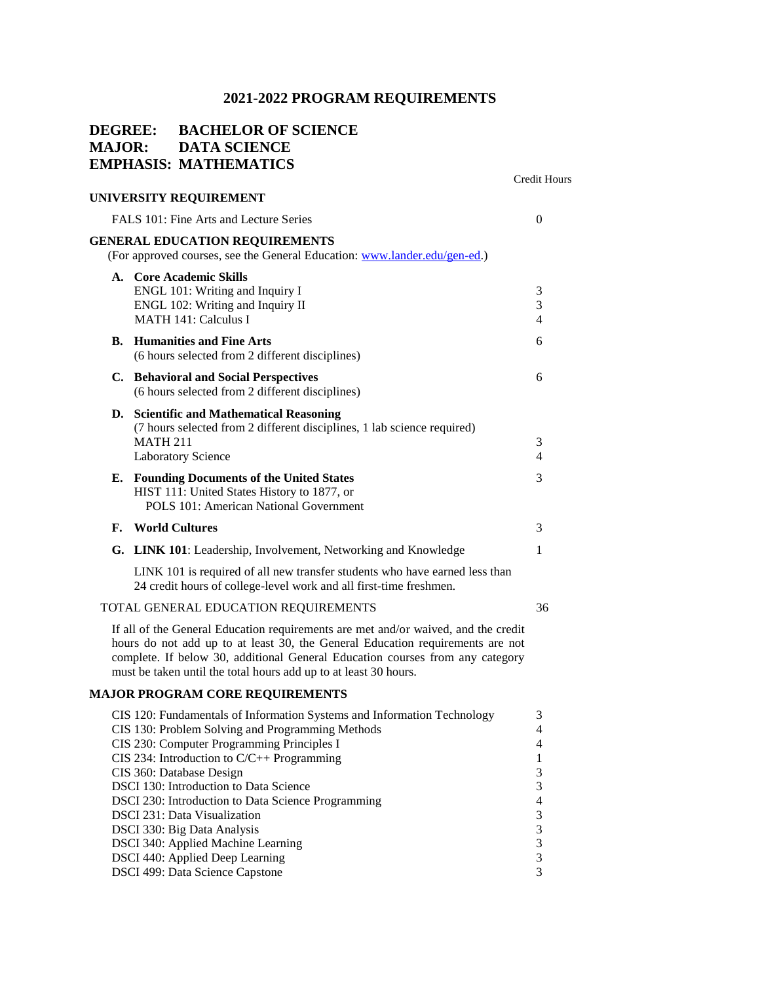## **DEGREE: BACHELOR OF SCIENCE MAJOR: DATA SCIENCE EMPHASIS: MATHEMATICS**

|    |                                                                                                                                                                                                                                                                                                                           | <b>Credit Hours</b>          |
|----|---------------------------------------------------------------------------------------------------------------------------------------------------------------------------------------------------------------------------------------------------------------------------------------------------------------------------|------------------------------|
|    | UNIVERSITY REQUIREMENT                                                                                                                                                                                                                                                                                                    |                              |
|    | FALS 101: Fine Arts and Lecture Series                                                                                                                                                                                                                                                                                    | $\theta$                     |
|    | <b>GENERAL EDUCATION REQUIREMENTS</b><br>(For approved courses, see the General Education: www.lander.edu/gen-ed.)                                                                                                                                                                                                        |                              |
|    | A. Core Academic Skills<br>ENGL 101: Writing and Inquiry I<br>ENGL 102: Writing and Inquiry II<br><b>MATH 141: Calculus I</b>                                                                                                                                                                                             | 3<br>3<br>4                  |
|    | <b>B.</b> Humanities and Fine Arts<br>(6 hours selected from 2 different disciplines)                                                                                                                                                                                                                                     | 6                            |
|    | C. Behavioral and Social Perspectives<br>(6 hours selected from 2 different disciplines)                                                                                                                                                                                                                                  | 6                            |
|    | D. Scientific and Mathematical Reasoning<br>(7 hours selected from 2 different disciplines, 1 lab science required)<br><b>MATH 211</b><br><b>Laboratory Science</b>                                                                                                                                                       | 3<br>$\overline{\mathbf{4}}$ |
|    | E. Founding Documents of the United States<br>HIST 111: United States History to 1877, or<br>POLS 101: American National Government                                                                                                                                                                                       | 3                            |
| F. | <b>World Cultures</b>                                                                                                                                                                                                                                                                                                     | 3                            |
|    | G. LINK 101: Leadership, Involvement, Networking and Knowledge                                                                                                                                                                                                                                                            | $\mathbf{1}$                 |
|    | LINK 101 is required of all new transfer students who have earned less than<br>24 credit hours of college-level work and all first-time freshmen.                                                                                                                                                                         |                              |
|    | TOTAL GENERAL EDUCATION REQUIREMENTS                                                                                                                                                                                                                                                                                      | 36                           |
|    | If all of the General Education requirements are met and/or waived, and the credit<br>hours do not add up to at least 30, the General Education requirements are not<br>complete. If below 30, additional General Education courses from any category<br>must be taken until the total hours add up to at least 30 hours. |                              |

### **MAJOR PROGRAM CORE REQUIREMENTS**

| CIS 120: Fundamentals of Information Systems and Information Technology | 3              |
|-------------------------------------------------------------------------|----------------|
| CIS 130: Problem Solving and Programming Methods                        | $\overline{4}$ |
| CIS 230: Computer Programming Principles I                              | $\overline{4}$ |
| CIS 234: Introduction to $C/C++$ Programming                            |                |
| CIS 360: Database Design                                                | 3              |
| <b>DSCI</b> 130: Introduction to Data Science                           | 3              |
| DSCI 230: Introduction to Data Science Programming                      | $\overline{4}$ |
| DSCI 231: Data Visualization                                            | 3              |
| DSCI 330: Big Data Analysis                                             | 3              |
| DSCI 340: Applied Machine Learning                                      | 3              |
| DSCI 440: Applied Deep Learning                                         | 3              |
| DSCI 499: Data Science Capstone                                         | 3              |
|                                                                         |                |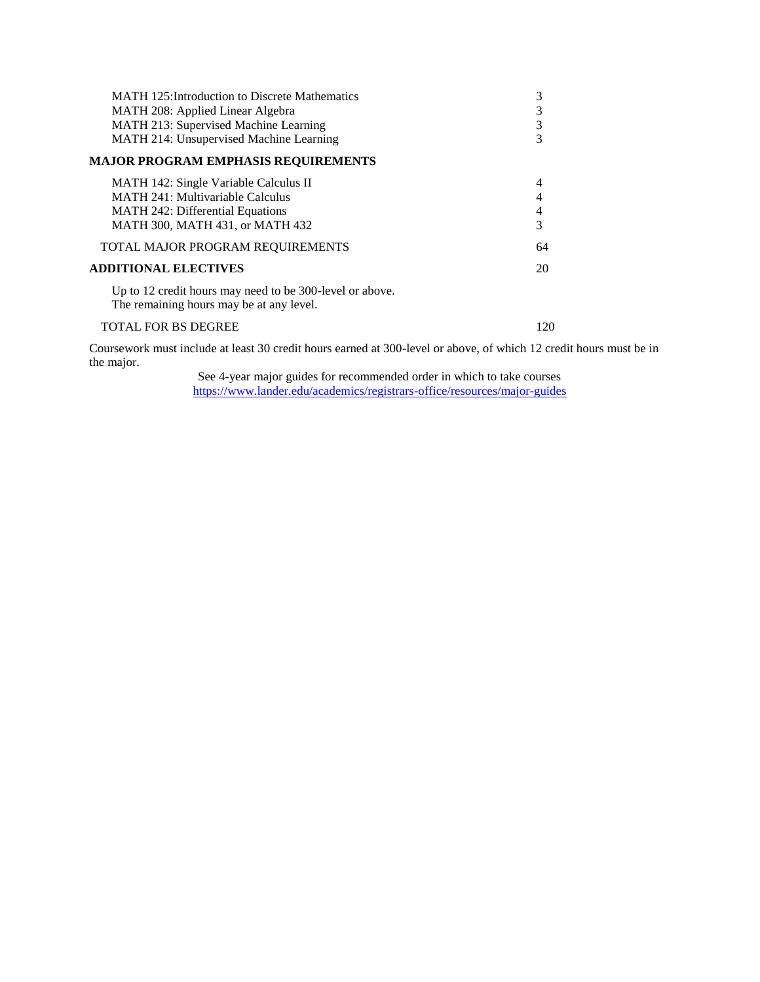| <b>MATH</b> 125: Introduction to Discrete Mathematics<br>MATH 208: Applied Linear Algebra<br>MATH 213: Supervised Machine Learning<br>MATH 214: Unsupervised Machine Learning | 3<br>3<br>3 |
|-------------------------------------------------------------------------------------------------------------------------------------------------------------------------------|-------------|
| MAJOR PROGRAM EMPHASIS REOUIREMENTS                                                                                                                                           |             |
| MATH 142: Single Variable Calculus II<br><b>MATH 241: Multivariable Calculus</b><br><b>MATH 242: Differential Equations</b><br>MATH 300, MATH 431, or MATH 432                | 4<br>3      |
| TOTAL MAJOR PROGRAM REQUIREMENTS                                                                                                                                              | 64          |
| <b>ADDITIONAL ELECTIVES</b>                                                                                                                                                   | 20          |
| Up to 12 credit hours may need to be 300-level or above.<br>The remaining hours may be at any level.                                                                          |             |

TOTAL FOR BS DEGREE 120

Coursework must include at least 30 credit hours earned at 300-level or above, of which 12 credit hours must be in the major.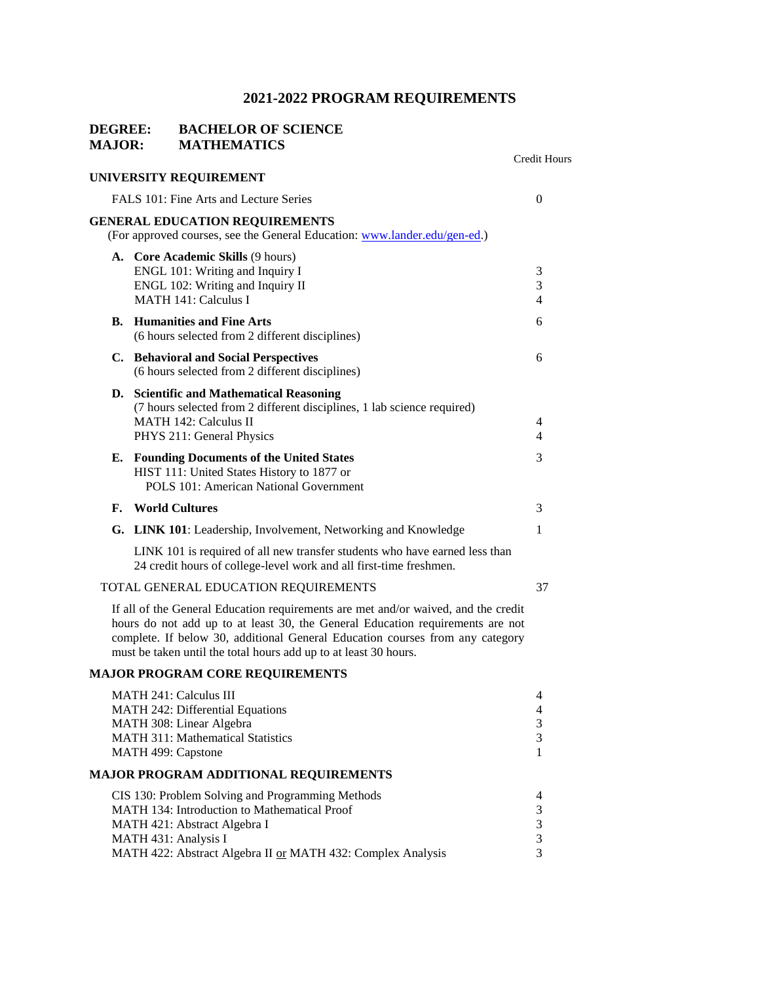### **DEGREE: BACHELOR OF SCIENCE MAJOR: MATHEMATICS**

|    |                                                                                                                                                                                                                                                                                                                           | Credit Hours          |
|----|---------------------------------------------------------------------------------------------------------------------------------------------------------------------------------------------------------------------------------------------------------------------------------------------------------------------------|-----------------------|
|    | UNIVERSITY REQUIREMENT                                                                                                                                                                                                                                                                                                    |                       |
|    | FALS 101: Fine Arts and Lecture Series                                                                                                                                                                                                                                                                                    | $\overline{0}$        |
|    | <b>GENERAL EDUCATION REQUIREMENTS</b><br>(For approved courses, see the General Education: www.lander.edu/gen-ed.)                                                                                                                                                                                                        |                       |
|    | A. Core Academic Skills (9 hours)<br>ENGL 101: Writing and Inquiry I<br>ENGL 102: Writing and Inquiry II<br><b>MATH 141: Calculus I</b>                                                                                                                                                                                   | 3<br>3<br>4           |
| В. | <b>Humanities and Fine Arts</b><br>(6 hours selected from 2 different disciplines)                                                                                                                                                                                                                                        | 6                     |
|    | C. Behavioral and Social Perspectives<br>(6 hours selected from 2 different disciplines)                                                                                                                                                                                                                                  | 6                     |
|    | D. Scientific and Mathematical Reasoning<br>(7 hours selected from 2 different disciplines, 1 lab science required)<br><b>MATH 142: Calculus II</b><br>PHYS 211: General Physics                                                                                                                                          | 4<br>4                |
| Е. | <b>Founding Documents of the United States</b><br>HIST 111: United States History to 1877 or<br>POLS 101: American National Government                                                                                                                                                                                    | 3                     |
| F. | <b>World Cultures</b>                                                                                                                                                                                                                                                                                                     | 3                     |
|    | G. LINK 101: Leadership, Involvement, Networking and Knowledge                                                                                                                                                                                                                                                            | 1                     |
|    | LINK 101 is required of all new transfer students who have earned less than<br>24 credit hours of college-level work and all first-time freshmen.                                                                                                                                                                         |                       |
|    | TOTAL GENERAL EDUCATION REQUIREMENTS                                                                                                                                                                                                                                                                                      | 37                    |
|    | If all of the General Education requirements are met and/or waived, and the credit<br>hours do not add up to at least 30, the General Education requirements are not<br>complete. If below 30, additional General Education courses from any category<br>must be taken until the total hours add up to at least 30 hours. |                       |
|    | <b>MAJOR PROGRAM CORE REQUIREMENTS</b>                                                                                                                                                                                                                                                                                    |                       |
|    | <b>MATH 241: Calculus III</b><br>MATH 242: Differential Equations<br>MATH 308: Linear Algebra<br>MATH 311: Mathematical Statistics<br>MATH 499: Capstone                                                                                                                                                                  | 4<br>4<br>3<br>3<br>1 |
|    | <b>MAJOR PROGRAM ADDITIONAL REQUIREMENTS</b>                                                                                                                                                                                                                                                                              |                       |
|    | CIS 130: Problem Solving and Programming Methods<br>MATH 134: Introduction to Mathematical Proof<br>MATH 421: Abstract Algebra I<br>MATH 431: Analysis I<br>MATH 422: Abstract Algebra II or MATH 432: Complex Analysis                                                                                                   | 4<br>3<br>3<br>3<br>3 |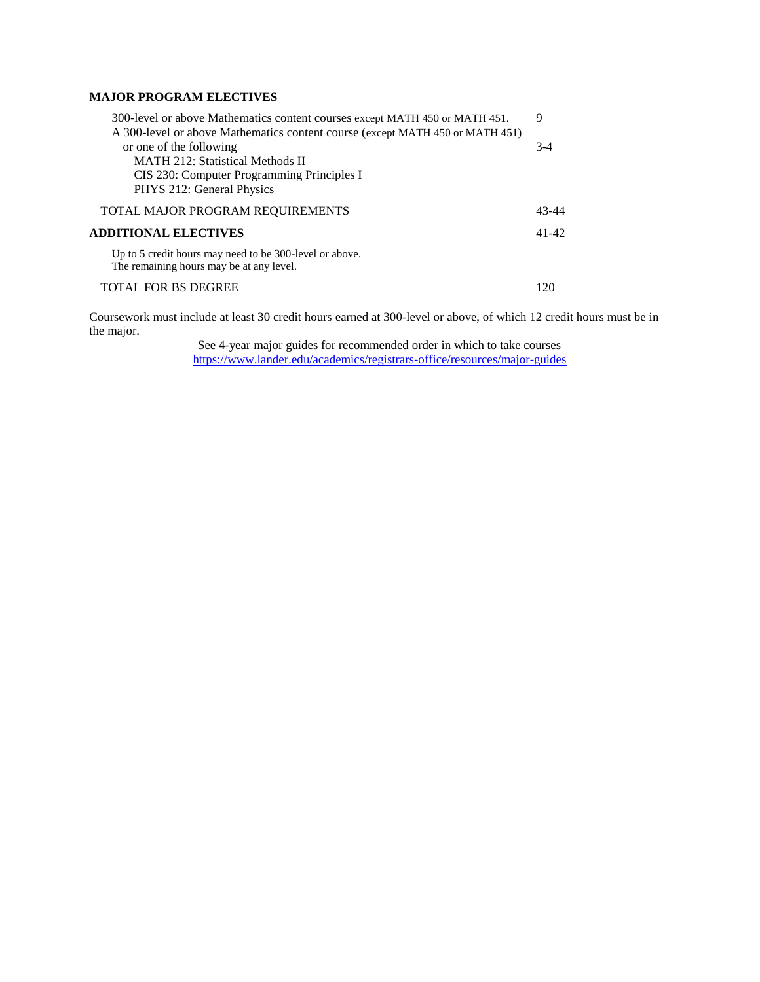### **MAJOR PROGRAM ELECTIVES**

| 300-level or above Mathematics content courses except MATH 450 or MATH 451.                         | 9         |
|-----------------------------------------------------------------------------------------------------|-----------|
| A 300-level or above Mathematics content course (except MATH 450 or MATH 451)                       |           |
| or one of the following                                                                             | $3-4$     |
| <b>MATH 212: Statistical Methods II</b>                                                             |           |
| CIS 230: Computer Programming Principles I                                                          |           |
| PHYS 212: General Physics                                                                           |           |
| TOTAL MAJOR PROGRAM REQUIREMENTS                                                                    | 43-44     |
| ADDITIONAL ELECTIVES                                                                                | $41 - 42$ |
| Up to 5 credit hours may need to be 300-level or above.<br>The remaining hours may be at any level. |           |
| <b>TOTAL FOR BS DEGREE</b>                                                                          | 120       |

Coursework must include at least 30 credit hours earned at 300-level or above, of which 12 credit hours must be in the major.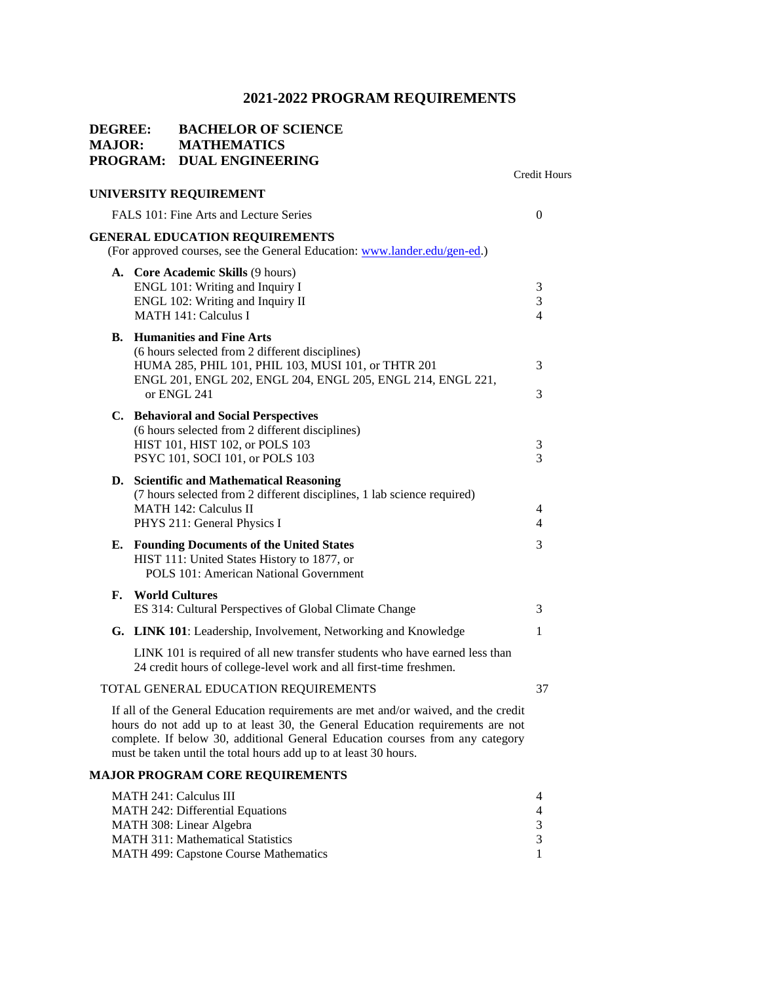### **DEGREE: BACHELOR OF SCIENCE MAJOR: MATHEMATICS PROGRAM: DUAL ENGINEERING** Credit Hours **UNIVERSITY REQUIREMENT**  FALS 101: Fine Arts and Lecture Series 0 **GENERAL EDUCATION REQUIREMENTS** (For approved courses, see the General Education: [www.lander.edu/gen-ed.\)](http://www.lander.edu/gen-ed) **A. Core Academic Skills** (9 hours) ENGL 101: Writing and Inquiry I 3 ENGL 102: Writing and Inquiry II 3 MATH 141: Calculus I 4 **B. Humanities and Fine Arts** (6 hours selected from 2 different disciplines) HUMA 285, PHIL 101, PHIL 103, MUSI 101, or THTR 201 3 ENGL 201, ENGL 202, ENGL 204, ENGL 205, ENGL 214, ENGL 221, or ENGL 241  $\overline{3}$ **C. Behavioral and Social Perspectives** (6 hours selected from 2 different disciplines) HIST 101, HIST 102, or POLS 103 3 PSYC 101, SOCI 101, or POLS 103 3 **D. Scientific and Mathematical Reasoning** (7 hours selected from 2 different disciplines, 1 lab science required) MATH 142: Calculus II 4 PHYS 211: General Physics I 4 **E. Founding Documents of the United States** 3 HIST 111: United States History to 1877, or POLS 101: American National Government **F. World Cultures**  ES 314: Cultural Perspectives of Global Climate Change 3 **G.** LINK 101: Leadership, Involvement, Networking and Knowledge 1 LINK 101 is required of all new transfer students who have earned less than 24 credit hours of college-level work and all first-time freshmen. TOTAL GENERAL EDUCATION REQUIREMENTS 37 If all of the General Education requirements are met and/or waived, and the credit hours do not add up to at least 30, the General Education requirements are not complete. If below 30, additional General Education courses from any category must be taken until the total hours add up to at least 30 hours. **MAJOR PROGRAM CORE REQUIREMENTS** MATH 241: Calculus III 4 MATH 242: Differential Equations 4

| MATH 242: Differential Equations             |  |
|----------------------------------------------|--|
| MATH 308: Linear Algebra                     |  |
| <b>MATH 311: Mathematical Statistics</b>     |  |
| <b>MATH 499: Capstone Course Mathematics</b> |  |
|                                              |  |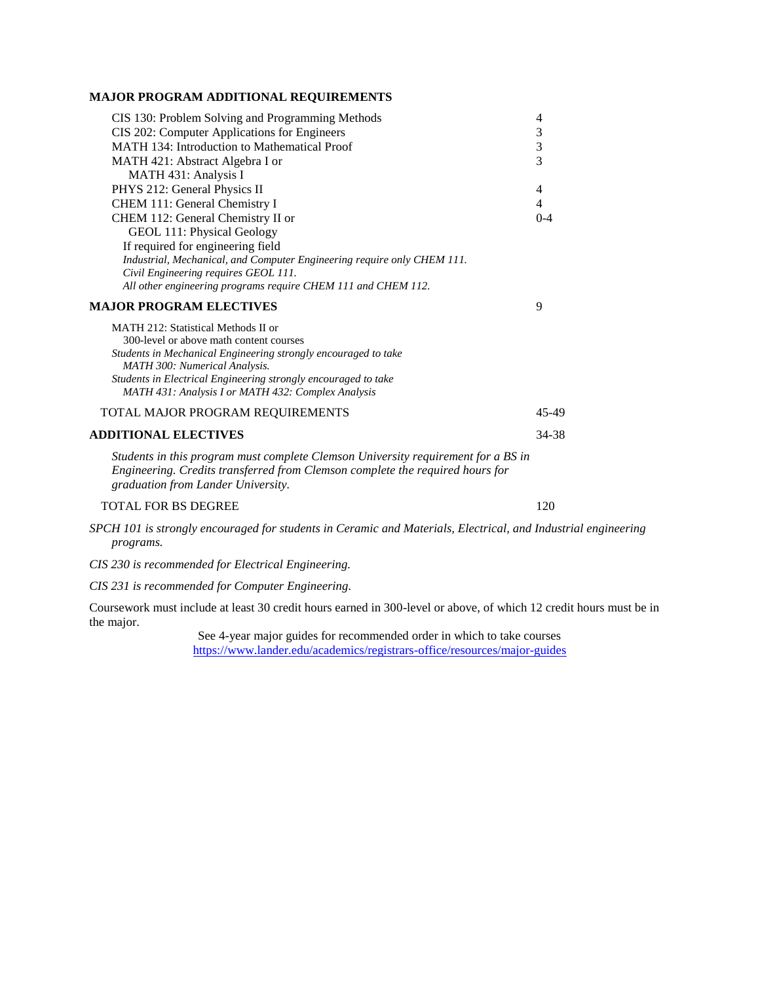### **MAJOR PROGRAM ADDITIONAL REQUIREMENTS**

| CIS 130: Problem Solving and Programming Methods                                                                    | 4       |
|---------------------------------------------------------------------------------------------------------------------|---------|
| CIS 202: Computer Applications for Engineers                                                                        | 3       |
| <b>MATH 134: Introduction to Mathematical Proof</b>                                                                 | 3       |
| MATH 421: Abstract Algebra I or                                                                                     | 3       |
| MATH 431: Analysis I                                                                                                |         |
| PHYS 212: General Physics II                                                                                        | 4       |
| CHEM 111: General Chemistry I                                                                                       | 4       |
| CHEM 112: General Chemistry II or                                                                                   | $0 - 4$ |
| GEOL 111: Physical Geology                                                                                          |         |
| If required for engineering field                                                                                   |         |
| Industrial, Mechanical, and Computer Engineering require only CHEM 111.                                             |         |
| Civil Engineering requires GEOL 111.                                                                                |         |
| All other engineering programs require CHEM 111 and CHEM 112.                                                       |         |
| <b>MAJOR PROGRAM ELECTIVES</b>                                                                                      | 9       |
| MATH 212: Statistical Methods II or                                                                                 |         |
| 300-level or above math content courses                                                                             |         |
| Students in Mechanical Engineering strongly encouraged to take                                                      |         |
| <b>MATH 300: Numerical Analysis.</b>                                                                                |         |
| Students in Electrical Engineering strongly encouraged to take                                                      |         |
| MATH 431: Analysis I or MATH 432: Complex Analysis                                                                  |         |
| TOTAL MAJOR PROGRAM REQUIREMENTS                                                                                    | 45-49   |
| <b>ADDITIONAL ELECTIVES</b>                                                                                         | 34-38   |
| Students in this program must complete Clemson University requirement for a BS in                                   |         |
| Engineering. Credits transferred from Clemson complete the required hours for<br>graduation from Lander University. |         |

#### TOTAL FOR BS DEGREE 120

*SPCH 101 is strongly encouraged for students in Ceramic and Materials, Electrical, and Industrial engineering programs.*

*CIS 230 is recommended for Electrical Engineering.*

*CIS 231 is recommended for Computer Engineering.*

Coursework must include at least 30 credit hours earned in 300-level or above, of which 12 credit hours must be in the major.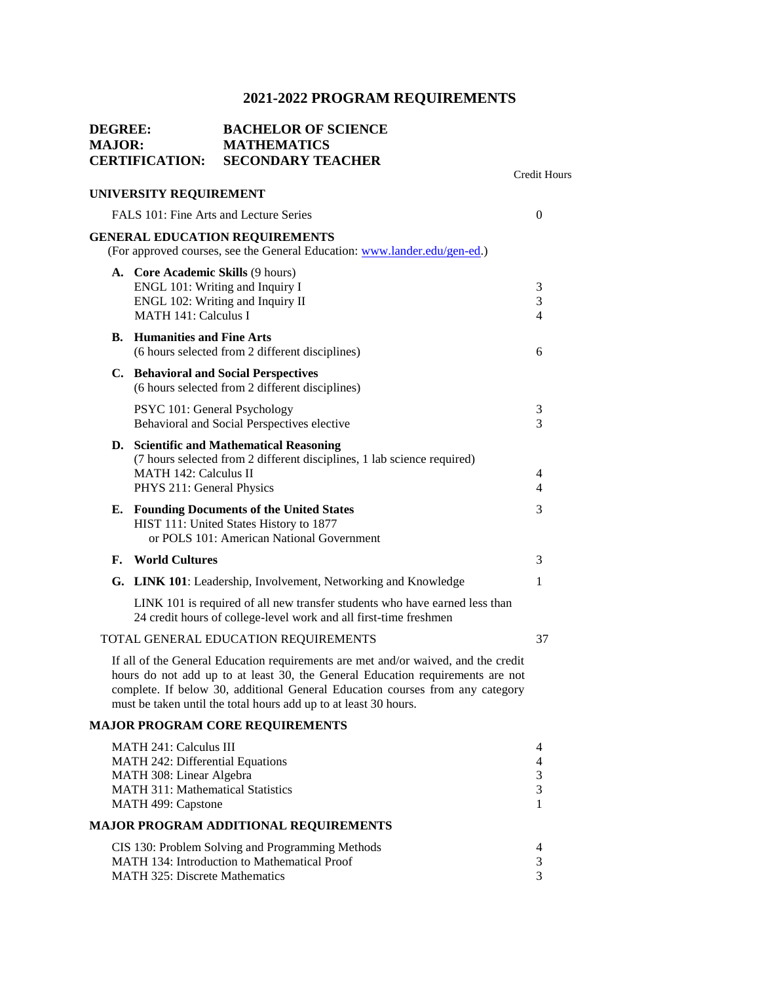# **DEGREE: BACHELOR OF SCIENCE MAJOR: MATHEMATICS CERTIFICATION: SECONDARY TEACHER** Credit Hours **UNIVERSITY REQUIREMENT**  FALS 101: Fine Arts and Lecture Series 0 **GENERAL EDUCATION REQUIREMENTS** (For approved courses, see the General Education: [www.lander.edu/gen-ed.\)](http://www.lander.edu/gen-ed) **A. Core Academic Skills** (9 hours) ENGL 101: Writing and Inquiry I 3 ENGL 102: Writing and Inquiry II 3 MATH 141: Calculus I 4 **B. Humanities and Fine Arts** (6 hours selected from 2 different disciplines) 6 **C. Behavioral and Social Perspectives** (6 hours selected from 2 different disciplines) PSYC 101: General Psychology 3 Behavioral and Social Perspectives elective 3 **D. Scientific and Mathematical Reasoning** (7 hours selected from 2 different disciplines, 1 lab science required) MATH 142: Calculus II 4 PHYS 211: General Physics 4 **E. Founding Documents of the United States** 3 HIST 111: United States History to 1877 or POLS 101: American National Government **F. World Cultures** 3 **G.** LINK 101: Leadership, Involvement, Networking and Knowledge 1 LINK 101 is required of all new transfer students who have earned less than 24 credit hours of college-level work and all first-time freshmen TOTAL GENERAL EDUCATION REQUIREMENTS 37 If all of the General Education requirements are met and/or waived, and the credit hours do not add up to at least 30, the General Education requirements are not complete. If below 30, additional General Education courses from any category must be taken until the total hours add up to at least 30 hours.

#### **MAJOR PROGRAM CORE REQUIREMENTS**

| <b>MATH 241: Calculus III</b>                    | 4 |
|--------------------------------------------------|---|
| MATH 242: Differential Equations                 | 4 |
| MATH 308: Linear Algebra                         | 3 |
| <b>MATH 311: Mathematical Statistics</b>         | 3 |
| MATH 499: Capstone                               |   |
| MAJOR PROGRAM ADDITIONAL REQUIREMENTS            |   |
| CIS 130: Problem Solving and Programming Methods | 4 |
| MATH 134: Introduction to Mathematical Proof     | 3 |
| <b>MATH 325: Discrete Mathematics</b>            |   |